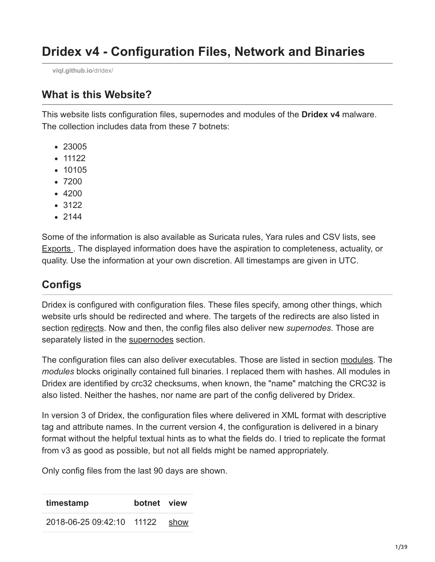**[viql.github.io](https://viql.github.io/dridex/)**/dridex/

### **What is this Website?**

This website lists configuration files, supernodes and modules of the **Dridex v4** malware. The collection includes data from these 7 botnets:

- 23005
- $11122$
- 10105
- 7200
- 4200
- 3122
- $2144$

Some of the information is also available as Suricata rules, Yara rules and CSV lists, see Exports . The displayed information does have the aspiration to completeness, actuality, or quality. Use the information at your own discretion. All timestamps are given in UTC.

# **Configs**

Dridex is configured with configuration files. These files specify, among other things, which website urls should be redirected and where. The targets of the redirects are also listed in section redirects. Now and then, the config files also deliver new *supernodes*. Those are separately listed in the supernodes section.

The configuration files can also deliver executables. Those are listed in section modules. The *modules* blocks originally contained full binaries. I replaced them with hashes. All modules in Dridex are identified by crc32 checksums, when known, the "name" matching the CRC32 is also listed. Neither the hashes, nor name are part of the config delivered by Dridex.

In version 3 of Dridex, the configuration files where delivered in XML format with descriptive tag and attribute names. In the current version 4, the configuration is delivered in a binary format without the helpful textual hints as to what the fields do. I tried to replicate the format from v3 as good as possible, but not all fields might be named appropriately.

Only config files from the last 90 days are shown.

| timestamp                      | botnet view |  |
|--------------------------------|-------------|--|
| 2018-06-25 09:42:10 11122 show |             |  |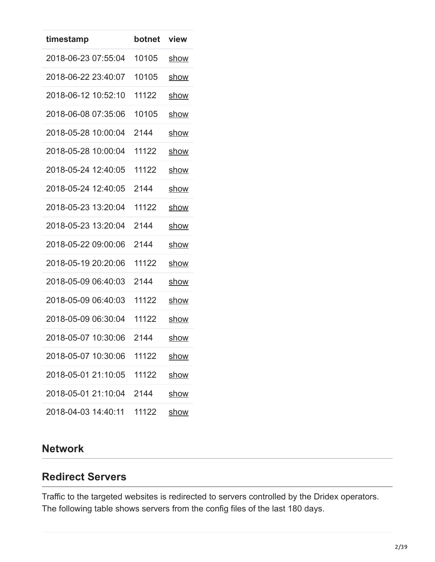| timestamp           | botnet | view        |
|---------------------|--------|-------------|
| 2018-06-23 07:55:04 | 10105  | show        |
| 2018-06-22 23:40:07 | 10105  | show        |
| 2018-06-12 10:52:10 | 11122  | show        |
| 2018-06-08 07:35:06 | 10105  | <u>show</u> |
| 2018-05-28 10:00:04 | 2144   | show        |
| 2018-05-28 10:00:04 | 11122  | show        |
| 2018-05-24 12:40:05 | 11122  | show        |
| 2018-05-24 12:40:05 | 2144   | show        |
| 2018-05-23 13:20:04 | 11122  | <u>show</u> |
| 2018-05-23 13:20:04 | 2144   | show        |
| 2018-05-22 09:00:06 | 2144   | show        |
| 2018-05-19 20:20:06 | 11122  | show        |
| 2018-05-09 06:40:03 | 2144   | show        |
| 2018-05-09 06:40:03 | 11122  | <u>show</u> |
| 2018-05-09 06:30:04 | 11122  | show        |
| 2018-05-07 10:30:06 | 2144   | show        |
| 2018-05-07 10:30:06 | 11122  | show        |
| 2018-05-01 21:10:05 | 11122  | show        |
| 2018-05-01 21:10:04 | 2144   | show        |
| 2018-04-03 14:40:11 | 11122  | <u>show</u> |

## **Network**

### **Redirect Servers**

Traffic to the targeted websites is redirected to servers controlled by the Dridex operators. The following table shows servers from the config files of the last 180 days.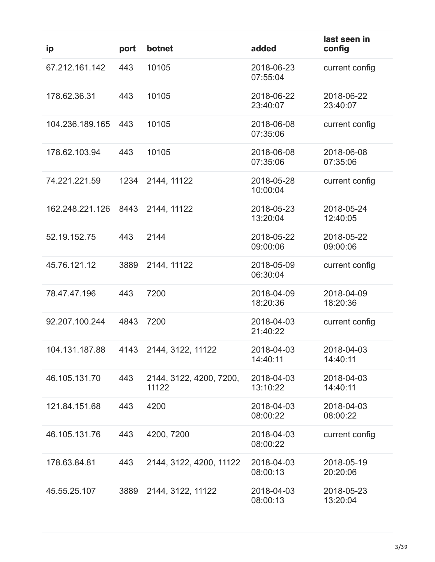| ip              | port | botnet                           | added                  | last seen in<br>config |
|-----------------|------|----------------------------------|------------------------|------------------------|
| 67.212.161.142  | 443  | 10105                            | 2018-06-23<br>07:55:04 | current config         |
| 178.62.36.31    | 443  | 10105                            | 2018-06-22<br>23:40:07 | 2018-06-22<br>23:40:07 |
| 104.236.189.165 | 443  | 10105                            | 2018-06-08<br>07:35:06 | current config         |
| 178.62.103.94   | 443  | 10105                            | 2018-06-08<br>07:35:06 | 2018-06-08<br>07:35:06 |
| 74.221.221.59   | 1234 | 2144, 11122                      | 2018-05-28<br>10:00:04 | current config         |
| 162.248.221.126 | 8443 | 2144, 11122                      | 2018-05-23<br>13:20:04 | 2018-05-24<br>12:40:05 |
| 52.19.152.75    | 443  | 2144                             | 2018-05-22<br>09:00:06 | 2018-05-22<br>09:00:06 |
| 45.76.121.12    | 3889 | 2144, 11122                      | 2018-05-09<br>06:30:04 | current config         |
| 78.47.47.196    | 443  | 7200                             | 2018-04-09<br>18:20:36 | 2018-04-09<br>18:20:36 |
| 92.207.100.244  | 4843 | 7200                             | 2018-04-03<br>21:40:22 | current config         |
| 104.131.187.88  |      | 4143 2144, 3122, 11122           | 2018-04-03<br>14:40:11 | 2018-04-03<br>14:40:11 |
| 46.105.131.70   | 443  | 2144, 3122, 4200, 7200,<br>11122 | 2018-04-03<br>13:10:22 | 2018-04-03<br>14:40:11 |
| 121.84.151.68   | 443  | 4200                             | 2018-04-03<br>08:00:22 | 2018-04-03<br>08:00:22 |
| 46.105.131.76   | 443  | 4200, 7200                       | 2018-04-03<br>08:00:22 | current config         |
| 178.63.84.81    | 443  | 2144, 3122, 4200, 11122          | 2018-04-03<br>08:00:13 | 2018-05-19<br>20:20:06 |
| 45.55.25.107    | 3889 | 2144, 3122, 11122                | 2018-04-03<br>08:00:13 | 2018-05-23<br>13:20:04 |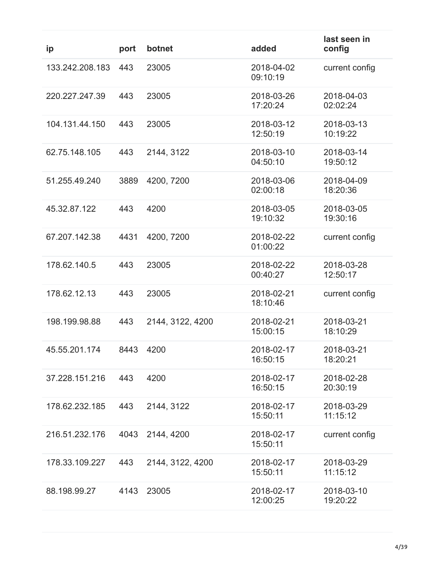| ip              | port | botnet           | added                  | last seen in<br>config |
|-----------------|------|------------------|------------------------|------------------------|
| 133.242.208.183 | 443  | 23005            | 2018-04-02<br>09:10:19 | current config         |
| 220.227.247.39  | 443  | 23005            | 2018-03-26<br>17:20:24 | 2018-04-03<br>02:02:24 |
| 104.131.44.150  | 443  | 23005            | 2018-03-12<br>12:50:19 | 2018-03-13<br>10:19:22 |
| 62.75.148.105   | 443  | 2144, 3122       | 2018-03-10<br>04:50:10 | 2018-03-14<br>19:50:12 |
| 51.255.49.240   | 3889 | 4200, 7200       | 2018-03-06<br>02:00:18 | 2018-04-09<br>18:20:36 |
| 45.32.87.122    | 443  | 4200             | 2018-03-05<br>19:10:32 | 2018-03-05<br>19:30:16 |
| 67.207.142.38   | 4431 | 4200, 7200       | 2018-02-22<br>01:00:22 | current config         |
| 178.62.140.5    | 443  | 23005            | 2018-02-22<br>00:40:27 | 2018-03-28<br>12:50:17 |
| 178.62.12.13    | 443  | 23005            | 2018-02-21<br>18:10:46 | current config         |
| 198.199.98.88   | 443  | 2144, 3122, 4200 | 2018-02-21<br>15:00:15 | 2018-03-21<br>18:10:29 |
| 45.55.201.174   | 8443 | 4200             | 2018-02-17<br>16:50:15 | 2018-03-21<br>18:20:21 |
| 37.228.151.216  | 443  | 4200             | 2018-02-17<br>16:50:15 | 2018-02-28<br>20:30:19 |
| 178.62.232.185  | 443  | 2144, 3122       | 2018-02-17<br>15:50:11 | 2018-03-29<br>11:15:12 |
| 216.51.232.176  | 4043 | 2144, 4200       | 2018-02-17<br>15:50:11 | current config         |
| 178.33.109.227  | 443  | 2144, 3122, 4200 | 2018-02-17<br>15:50:11 | 2018-03-29<br>11:15:12 |
| 88.198.99.27    | 4143 | 23005            | 2018-02-17<br>12:00:25 | 2018-03-10<br>19:20:22 |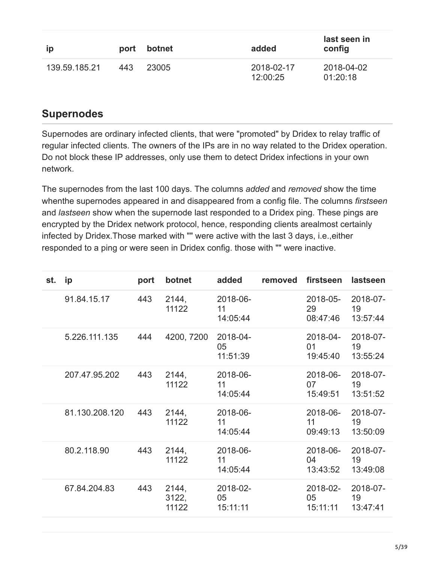| <b>ip</b>     | port | botnet | added                  | last seen in<br>config |
|---------------|------|--------|------------------------|------------------------|
| 139.59.185.21 | 443  | 23005  | 2018-02-17<br>12:00:25 | 2018-04-02<br>01:20:18 |

## **Supernodes**

Supernodes are ordinary infected clients, that were "promoted" by Dridex to relay traffic of regular infected clients. The owners of the IPs are in no way related to the Dridex operation. Do not block these IP addresses, only use them to detect Dridex infections in your own network.

The supernodes from the last 100 days. The columns *added* and *removed* show the time whenthe supernodes appeared in and disappeared from a config file. The columns *firstseen* and *lastseen* show when the supernode last responded to a Dridex ping. These pings are encrypted by the Dridex network protocol, hence, responding clients arealmost certainly infected by Dridex.Those marked with "" were active with the last 3 days, i.e.,either responded to a ping or were seen in Dridex config. those with "" were inactive.

| st. | ip             | port | botnet                  | added                      | removed | firstseen                  | lastseen                   |
|-----|----------------|------|-------------------------|----------------------------|---------|----------------------------|----------------------------|
|     | 91.84.15.17    | 443  | 2144,<br>11122          | 2018-06-<br>11<br>14:05:44 |         | 2018-05-<br>29<br>08:47:46 | 2018-07-<br>19<br>13.57.44 |
|     | 5.226.111.135  | 444  | 4200, 7200              | 2018-04-<br>05<br>11:51:39 |         | 2018-04-<br>01<br>19:45:40 | 2018-07-<br>19<br>13:55:24 |
|     | 207.47.95.202  | 443  | 2144,<br>11122          | 2018-06-<br>11<br>14:05:44 |         | 2018-06-<br>07<br>15:49:51 | 2018-07-<br>19<br>13:51:52 |
|     | 81.130.208.120 | 443  | 2144,<br>11122          | 2018-06-<br>11<br>14:05:44 |         | 2018-06-<br>11<br>09:49:13 | 2018-07-<br>19<br>13:50:09 |
|     | 80.2.118.90    | 443  | 2144,<br>11122          | 2018-06-<br>11<br>14:05:44 |         | 2018-06-<br>04<br>13:43:52 | 2018-07-<br>19<br>13:49:08 |
|     | 67.84.204.83   | 443  | 2144,<br>3122,<br>11122 | 2018-02-<br>05<br>15:11:11 |         | 2018-02-<br>05<br>15:11:11 | 2018-07-<br>19<br>13:47:41 |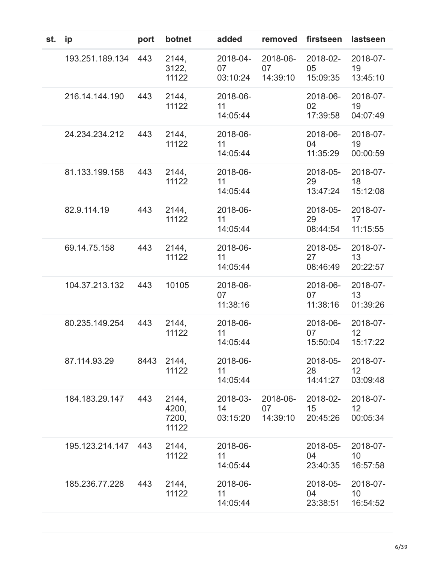| st. | ip              | port | botnet                           | added                      | removed                    | firstseen                  | lastseen                                |
|-----|-----------------|------|----------------------------------|----------------------------|----------------------------|----------------------------|-----------------------------------------|
|     | 193.251.189.134 | 443  | 2144,<br>3122,<br>11122          | 2018-04-<br>07<br>03:10:24 | 2018-06-<br>07<br>14:39:10 | 2018-02-<br>05<br>15:09:35 | 2018-07-<br>19<br>13:45:10              |
|     | 216.14.144.190  | 443  | 2144,<br>11122                   | 2018-06-<br>11<br>14:05:44 |                            | 2018-06-<br>02<br>17:39:58 | 2018-07-<br>19<br>04:07:49              |
|     | 24.234.234.212  | 443  | 2144,<br>11122                   | 2018-06-<br>11<br>14:05:44 |                            | 2018-06-<br>04<br>11:35:29 | 2018-07-<br>19<br>00:00:59              |
|     | 81.133.199.158  | 443  | 2144,<br>11122                   | 2018-06-<br>11<br>14:05:44 |                            | 2018-05-<br>29<br>13:47:24 | 2018-07-<br>18<br>15:12:08              |
|     | 82.9.114.19     | 443  | 2144,<br>11122                   | 2018-06-<br>11<br>14:05:44 |                            | 2018-05-<br>29<br>08:44:54 | 2018-07-<br>17<br>11:15:55              |
|     | 69.14.75.158    | 443  | 2144,<br>11122                   | 2018-06-<br>11<br>14:05:44 |                            | 2018-05-<br>27<br>08:46:49 | 2018-07-<br>13<br>20:22:57              |
|     | 104.37.213.132  | 443  | 10105                            | 2018-06-<br>07<br>11:38:16 |                            | 2018-06-<br>07<br>11:38:16 | 2018-07-<br>13<br>01:39:26              |
|     | 80.235.149.254  | 443  | 2144,<br>11122                   | 2018-06-<br>11<br>14:05:44 |                            | 2018-06-<br>07<br>15:50:04 | 2018-07-<br>12<br>15:17:22              |
|     | 87.114.93.29    | 8443 | 2144,<br>11122                   | 2018-06-<br>11<br>14:05:44 |                            | 2018-05-<br>28<br>14:41:27 | 2018-07-<br>12<br>03:09:48              |
|     | 184.183.29.147  | 443  | 2144,<br>4200,<br>7200,<br>11122 | 2018-03-<br>14<br>03:15:20 | 2018-06-<br>07<br>14:39:10 | 2018-02-<br>15<br>20:45:26 | 2018-07-<br>12<br>00:05:34              |
|     | 195.123.214.147 | 443  | 2144,<br>11122                   | 2018-06-<br>11<br>14:05:44 |                            | 2018-05-<br>04<br>23:40:35 | 2018-07-<br>10 <sup>°</sup><br>16:57:58 |
|     | 185.236.77.228  | 443  | 2144,<br>11122                   | 2018-06-<br>11<br>14:05:44 |                            | 2018-05-<br>04<br>23:38:51 | 2018-07-<br>10<br>16:54:52              |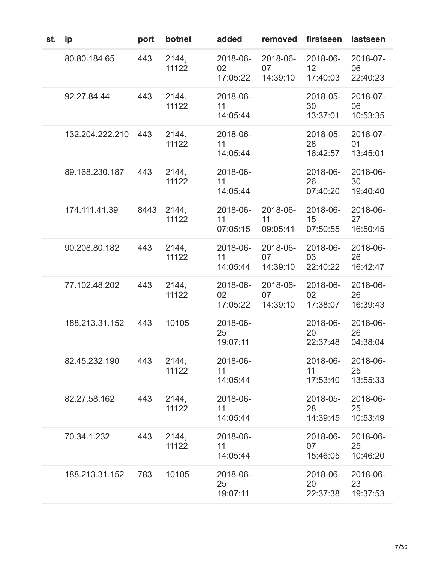| st. | ip              | port | botnet         | added                      | removed                    | firstseen                  | lastseen                   |
|-----|-----------------|------|----------------|----------------------------|----------------------------|----------------------------|----------------------------|
|     | 80.80.184.65    | 443  | 2144,<br>11122 | 2018-06-<br>02<br>17:05:22 | 2018-06-<br>07<br>14:39:10 | 2018-06-<br>12<br>17:40:03 | 2018-07-<br>06<br>22:40:23 |
|     | 92.27.84.44     | 443  | 2144,<br>11122 | 2018-06-<br>11<br>14:05:44 |                            | 2018-05-<br>30<br>13:37:01 | 2018-07-<br>06<br>10:53:35 |
|     | 132.204.222.210 | 443  | 2144,<br>11122 | 2018-06-<br>11<br>14:05:44 |                            | 2018-05-<br>28<br>16:42:57 | 2018-07-<br>01<br>13:45:01 |
|     | 89.168.230.187  | 443  | 2144,<br>11122 | 2018-06-<br>11<br>14:05:44 |                            | 2018-06-<br>26<br>07:40:20 | 2018-06-<br>30<br>19:40:40 |
|     | 174.111.41.39   | 8443 | 2144,<br>11122 | 2018-06-<br>11<br>07:05:15 | 2018-06-<br>11<br>09:05:41 | 2018-06-<br>15<br>07:50:55 | 2018-06-<br>27<br>16:50:45 |
|     | 90.208.80.182   | 443  | 2144,<br>11122 | 2018-06-<br>11<br>14:05:44 | 2018-06-<br>07<br>14:39:10 | 2018-06-<br>03<br>22:40:22 | 2018-06-<br>26<br>16:42:47 |
|     | 77.102.48.202   | 443  | 2144,<br>11122 | 2018-06-<br>02<br>17:05:22 | 2018-06-<br>07<br>14:39:10 | 2018-06-<br>02<br>17:38:07 | 2018-06-<br>26<br>16:39:43 |
|     | 188.213.31.152  | 443  | 10105          | 2018-06-<br>25<br>19:07:11 |                            | 2018-06-<br>20<br>22:37:48 | 2018-06-<br>26<br>04:38:04 |
|     | 82.45.232.190   | 443  | 2144,<br>11122 | 2018-06-<br>11<br>14:05:44 |                            | 2018-06-<br>11<br>17:53:40 | 2018-06-<br>25<br>13:55:33 |
|     | 82.27.58.162    | 443  | 2144,<br>11122 | 2018-06-<br>11<br>14:05:44 |                            | 2018-05-<br>28<br>14:39:45 | 2018-06-<br>25<br>10:53:49 |
|     | 70.34.1.232     | 443  | 2144,<br>11122 | 2018-06-<br>11<br>14:05:44 |                            | 2018-06-<br>07<br>15:46:05 | 2018-06-<br>25<br>10:46:20 |
|     | 188.213.31.152  | 783  | 10105          | 2018-06-<br>25<br>19:07:11 |                            | 2018-06-<br>20<br>22:37:38 | 2018-06-<br>23<br>19:37:53 |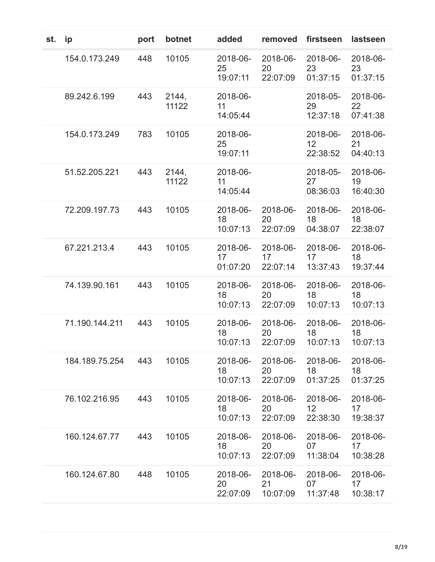| st. | ip             | port | botnet         | added                      | removed                    | firstseen                  | lastseen                   |
|-----|----------------|------|----------------|----------------------------|----------------------------|----------------------------|----------------------------|
|     | 154.0.173.249  | 448  | 10105          | 2018-06-<br>25<br>19:07:11 | 2018-06-<br>20<br>22:07:09 | 2018-06-<br>23<br>01:37:15 | 2018-06-<br>23<br>01:37:15 |
|     | 89.242.6.199   | 443  | 2144,<br>11122 | 2018-06-<br>11<br>14:05:44 |                            | 2018-05-<br>29<br>12:37:18 | 2018-06-<br>22<br>07:41:38 |
|     | 154.0.173.249  | 783  | 10105          | 2018-06-<br>25<br>19:07:11 |                            | 2018-06-<br>12<br>22:38:52 | 2018-06-<br>21<br>04:40:13 |
|     | 51.52.205.221  | 443  | 2144,<br>11122 | 2018-06-<br>11<br>14:05:44 |                            | 2018-05-<br>27<br>08:36:03 | 2018-06-<br>19<br>16:40:30 |
|     | 72.209.197.73  | 443  | 10105          | 2018-06-<br>18<br>10:07:13 | 2018-06-<br>20<br>22:07:09 | 2018-06-<br>18<br>04:38:07 | 2018-06-<br>18<br>22:38:07 |
|     | 67.221.213.4   | 443  | 10105          | 2018-06-<br>17<br>01:07:20 | 2018-06-<br>17<br>22:07:14 | 2018-06-<br>17<br>13:37:43 | 2018-06-<br>18<br>19:37:44 |
|     | 74.139.90.161  | 443  | 10105          | 2018-06-<br>18<br>10:07:13 | 2018-06-<br>20<br>22:07:09 | 2018-06-<br>18<br>10:07:13 | 2018-06-<br>18<br>10:07:13 |
|     | 71.190.144.211 | 443  | 10105          | 2018-06-<br>18<br>10:07:13 | 2018-06-<br>20<br>22:07:09 | 2018-06-<br>18<br>10:07:13 | 2018-06-<br>18<br>10:07:13 |
|     | 184.189.75.254 | 443  | 10105          | 2018-06-<br>18<br>10:07:13 | 2018-06-<br>20<br>22:07:09 | 2018-06-<br>18<br>01:37:25 | 2018-06-<br>18<br>01:37:25 |
|     | 76.102.216.95  | 443  | 10105          | 2018-06-<br>18<br>10:07:13 | 2018-06-<br>20<br>22:07:09 | 2018-06-<br>12<br>22:38:30 | 2018-06-<br>17<br>19:38:37 |
|     | 160.124.67.77  | 443  | 10105          | 2018-06-<br>18<br>10:07:13 | 2018-06-<br>20<br>22:07:09 | 2018-06-<br>07<br>11:38:04 | 2018-06-<br>17<br>10:38:28 |
|     | 160.124.67.80  | 448  | 10105          | 2018-06-<br>20<br>22:07:09 | 2018-06-<br>21<br>10:07:09 | 2018-06-<br>07<br>11:37:48 | 2018-06-<br>17<br>10:38:17 |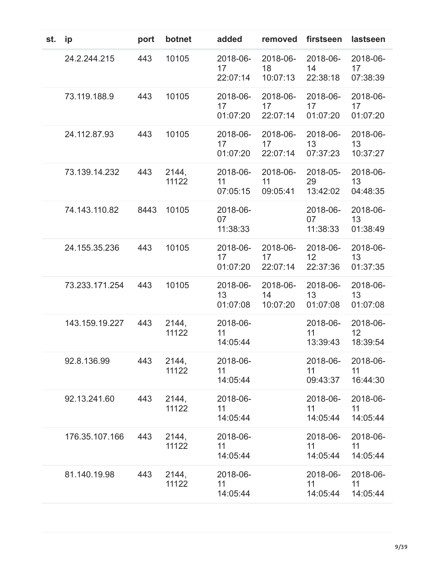| st. | ip             | port | botnet         | added                          | removed                    | firstseen                  | lastseen                   |
|-----|----------------|------|----------------|--------------------------------|----------------------------|----------------------------|----------------------------|
|     | 24.2.244.215   | 443  | 10105          | 2018-06-<br>17<br>22:07:14     | 2018-06-<br>18<br>10:07:13 | 2018-06-<br>14<br>22:38:18 | 2018-06-<br>17<br>07:38:39 |
|     | 73.119.188.9   | 443  | 10105          | 2018-06-<br>17<br>01:07:20     | 2018-06-<br>17<br>22:07:14 | 2018-06-<br>17<br>01:07:20 | 2018-06-<br>17<br>01:07:20 |
|     | 24.112.87.93   | 443  | 10105          | 2018-06-<br>17<br>01:07:20     | 2018-06-<br>17<br>22:07:14 | 2018-06-<br>13<br>07:37:23 | 2018-06-<br>13<br>10:37:27 |
|     | 73.139.14.232  | 443  | 2144,<br>11122 | 2018-06-<br>11<br>07:05:15     | 2018-06-<br>11<br>09:05:41 | 2018-05-<br>29<br>13:42:02 | 2018-06-<br>13<br>04:48:35 |
|     | 74.143.110.82  | 8443 | 10105          | 2018-06-<br>07<br>11:38:33     |                            | 2018-06-<br>07<br>11:38:33 | 2018-06-<br>13<br>01:38:49 |
|     | 24.155.35.236  | 443  | 10105          | 2018-06-<br>17<br>01:07:20     | 2018-06-<br>17<br>22:07:14 | 2018-06-<br>12<br>22:37:36 | 2018-06-<br>13<br>01:37:35 |
|     | 73.233.171.254 | 443  | 10105          | 2018-06-<br>13<br>01:07:08     | 2018-06-<br>14<br>10:07:20 | 2018-06-<br>13<br>01:07:08 | 2018-06-<br>13<br>01:07:08 |
|     | 143.159.19.227 | 443  | 2144,<br>11122 | 2018-06-<br>11<br>14:05:44     |                            | 2018-06-<br>11<br>13:39:43 | 2018-06-<br>12<br>18:39:54 |
|     | 92.8.136.99    | 443  | 2144,<br>11122 | 2018-06-<br>$11 -$<br>14:05:44 |                            | 2018-06-<br>11<br>09:43:37 | 2018-06-<br>11<br>16:44:30 |
|     | 92.13.241.60   | 443  | 2144,<br>11122 | 2018-06-<br>11<br>14:05:44     |                            | 2018-06-<br>11<br>14:05:44 | 2018-06-<br>11<br>14:05:44 |
|     | 176.35.107.166 | 443  | 2144,<br>11122 | 2018-06-<br>11<br>14:05:44     |                            | 2018-06-<br>11<br>14:05:44 | 2018-06-<br>11<br>14:05:44 |
|     | 81.140.19.98   | 443  | 2144,<br>11122 | 2018-06-<br>11<br>14:05:44     |                            | 2018-06-<br>11<br>14:05:44 | 2018-06-<br>11<br>14:05:44 |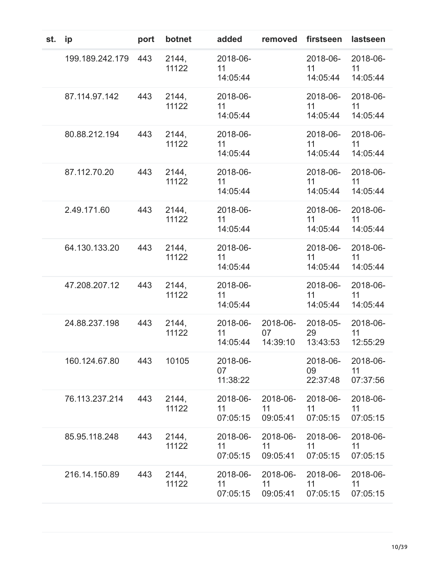| st. | ip              | port | botnet         | added                      | removed                    | firstseen                  | lastseen                   |
|-----|-----------------|------|----------------|----------------------------|----------------------------|----------------------------|----------------------------|
|     | 199.189.242.179 | 443  | 2144,<br>11122 | 2018-06-<br>11<br>14:05:44 |                            | 2018-06-<br>11<br>14:05:44 | 2018-06-<br>11<br>14:05:44 |
|     | 87.114.97.142   | 443  | 2144,<br>11122 | 2018-06-<br>11<br>14:05:44 |                            | 2018-06-<br>11<br>14:05:44 | 2018-06-<br>11<br>14:05:44 |
|     | 80.88.212.194   | 443  | 2144,<br>11122 | 2018-06-<br>11<br>14:05:44 |                            | 2018-06-<br>11<br>14:05:44 | 2018-06-<br>11<br>14:05:44 |
|     | 87.112.70.20    | 443  | 2144,<br>11122 | 2018-06-<br>11<br>14:05:44 |                            | 2018-06-<br>11<br>14:05:44 | 2018-06-<br>11<br>14:05:44 |
|     | 2.49.171.60     | 443  | 2144,<br>11122 | 2018-06-<br>11<br>14:05:44 |                            | 2018-06-<br>11<br>14:05:44 | 2018-06-<br>11<br>14:05:44 |
|     | 64.130.133.20   | 443  | 2144,<br>11122 | 2018-06-<br>11<br>14:05:44 |                            | 2018-06-<br>11<br>14:05:44 | 2018-06-<br>11<br>14:05:44 |
|     | 47.208.207.12   | 443  | 2144,<br>11122 | 2018-06-<br>11<br>14:05:44 |                            | 2018-06-<br>11<br>14:05:44 | 2018-06-<br>11<br>14:05:44 |
|     | 24.88.237.198   | 443  | 2144,<br>11122 | 2018-06-<br>11<br>14:05:44 | 2018-06-<br>07<br>14:39:10 | 2018-05-<br>29<br>13:43:53 | 2018-06-<br>11<br>12:55:29 |
|     | 160.124.67.80   | 443  | 10105          | 2018-06-<br>07<br>11:38:22 |                            | 2018-06-<br>09<br>22:37:48 | 2018-06-<br>11<br>07:37:56 |
|     | 76.113.237.214  | 443  | 2144,<br>11122 | 2018-06-<br>11<br>07:05:15 | 2018-06-<br>11<br>09:05:41 | 2018-06-<br>11<br>07:05:15 | 2018-06-<br>11<br>07:05:15 |
|     | 85.95.118.248   | 443  | 2144,<br>11122 | 2018-06-<br>11<br>07:05:15 | 2018-06-<br>11<br>09:05:41 | 2018-06-<br>11<br>07:05:15 | 2018-06-<br>11<br>07:05:15 |
|     | 216.14.150.89   | 443  | 2144,<br>11122 | 2018-06-<br>11<br>07:05:15 | 2018-06-<br>11<br>09:05:41 | 2018-06-<br>11<br>07:05:15 | 2018-06-<br>11<br>07:05:15 |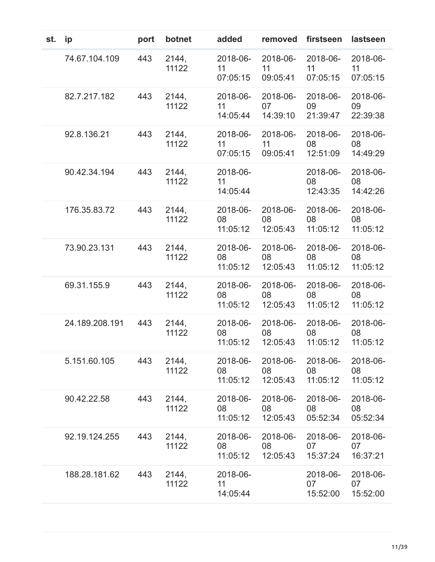| st. | ip             | port | botnet         | added                      | removed                    | firstseen                  | lastseen                   |
|-----|----------------|------|----------------|----------------------------|----------------------------|----------------------------|----------------------------|
|     | 74.67.104.109  | 443  | 2144,<br>11122 | 2018-06-<br>11<br>07:05:15 | 2018-06-<br>11<br>09:05:41 | 2018-06-<br>11<br>07:05:15 | 2018-06-<br>11<br>07:05:15 |
|     | 82.7.217.182   | 443  | 2144,<br>11122 | 2018-06-<br>11<br>14:05:44 | 2018-06-<br>07<br>14:39:10 | 2018-06-<br>09<br>21:39:47 | 2018-06-<br>09<br>22:39:38 |
|     | 92.8.136.21    | 443  | 2144,<br>11122 | 2018-06-<br>11<br>07:05:15 | 2018-06-<br>11<br>09:05:41 | 2018-06-<br>08<br>12:51:09 | 2018-06-<br>08<br>14:49:29 |
|     | 90.42.34.194   | 443  | 2144,<br>11122 | 2018-06-<br>11<br>14:05:44 |                            | 2018-06-<br>08<br>12:43:35 | 2018-06-<br>08<br>14:42:26 |
|     | 176.35.83.72   | 443  | 2144.<br>11122 | 2018-06-<br>08<br>11:05:12 | 2018-06-<br>08<br>12:05:43 | 2018-06-<br>08<br>11:05:12 | 2018-06-<br>08<br>11:05:12 |
|     | 73.90.23.131   | 443  | 2144,<br>11122 | 2018-06-<br>08<br>11:05:12 | 2018-06-<br>08<br>12:05:43 | 2018-06-<br>08<br>11:05:12 | 2018-06-<br>08<br>11:05:12 |
|     | 69.31.155.9    | 443  | 2144,<br>11122 | 2018-06-<br>08<br>11:05:12 | 2018-06-<br>08<br>12:05:43 | 2018-06-<br>08<br>11:05:12 | 2018-06-<br>08<br>11:05:12 |
|     | 24.189.208.191 | 443  | 2144,<br>11122 | 2018-06-<br>08<br>11:05:12 | 2018-06-<br>08<br>12:05:43 | 2018-06-<br>08<br>11:05:12 | 2018-06-<br>08<br>11:05:12 |
|     | 5.151.60.105   | 443  | 2144,<br>11122 | 2018-06-<br>08<br>11:05:12 | 2018-06-<br>08<br>12:05:43 | 2018-06-<br>08<br>11:05:12 | 2018-06-<br>08<br>11:05:12 |
|     | 90.42.22.58    | 443  | 2144,<br>11122 | 2018-06-<br>08<br>11:05:12 | 2018-06-<br>08<br>12:05:43 | 2018-06-<br>08<br>05:52:34 | 2018-06-<br>08<br>05:52:34 |
|     | 92.19.124.255  | 443  | 2144,<br>11122 | 2018-06-<br>08<br>11:05:12 | 2018-06-<br>08<br>12:05:43 | 2018-06-<br>07<br>15:37:24 | 2018-06-<br>07<br>16:37:21 |
|     | 188.28.181.62  | 443  | 2144,<br>11122 | 2018-06-<br>11<br>14:05:44 |                            | 2018-06-<br>07<br>15:52:00 | 2018-06-<br>07<br>15:52:00 |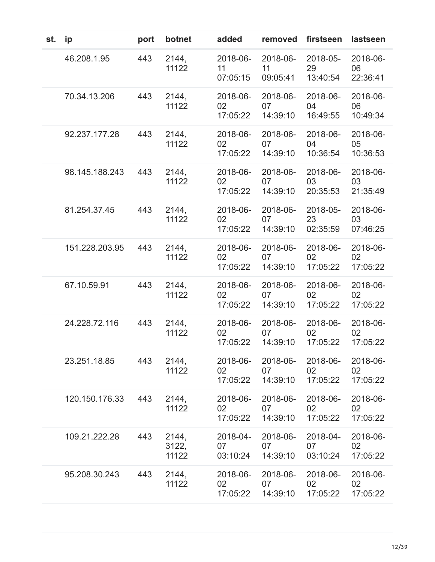| st. | ip             | port | botnet                  | added                      | removed                    | firstseen                  | lastseen                   |
|-----|----------------|------|-------------------------|----------------------------|----------------------------|----------------------------|----------------------------|
|     | 46.208.1.95    | 443  | 2144,<br>11122          | 2018-06-<br>11<br>07:05:15 | 2018-06-<br>11<br>09:05:41 | 2018-05-<br>29<br>13:40:54 | 2018-06-<br>06<br>22:36:41 |
|     | 70.34.13.206   | 443  | 2144,<br>11122          | 2018-06-<br>02<br>17:05:22 | 2018-06-<br>07<br>14:39:10 | 2018-06-<br>04<br>16:49:55 | 2018-06-<br>06<br>10:49:34 |
|     | 92.237.177.28  | 443  | 2144,<br>11122          | 2018-06-<br>02<br>17:05:22 | 2018-06-<br>07<br>14:39:10 | 2018-06-<br>04<br>10:36:54 | 2018-06-<br>05<br>10:36:53 |
|     | 98.145.188.243 | 443  | 2144,<br>11122          | 2018-06-<br>02<br>17:05:22 | 2018-06-<br>07<br>14:39:10 | 2018-06-<br>03<br>20:35:53 | 2018-06-<br>03<br>21:35:49 |
|     | 81.254.37.45   | 443  | 2144,<br>11122          | 2018-06-<br>02<br>17:05:22 | 2018-06-<br>07<br>14:39:10 | 2018-05-<br>23<br>02:35:59 | 2018-06-<br>03<br>07:46:25 |
|     | 151.228.203.95 | 443  | 2144,<br>11122          | 2018-06-<br>02<br>17:05:22 | 2018-06-<br>07<br>14:39:10 | 2018-06-<br>02<br>17:05:22 | 2018-06-<br>02<br>17:05:22 |
|     | 67.10.59.91    | 443  | 2144,<br>11122          | 2018-06-<br>02<br>17:05:22 | 2018-06-<br>07<br>14:39:10 | 2018-06-<br>02<br>17:05:22 | 2018-06-<br>02<br>17:05:22 |
|     | 24.228.72.116  | 443  | 2144,<br>11122          | 2018-06-<br>02<br>17:05:22 | 2018-06-<br>07<br>14:39:10 | 2018-06-<br>02<br>17:05:22 | 2018-06-<br>02<br>17:05:22 |
|     | 23.251.18.85   | 443  | 2144,<br>11122          | 2018-06-<br>02<br>17:05:22 | 2018-06-<br>07<br>14:39:10 | 2018-06-<br>02<br>17:05:22 | 2018-06-<br>02<br>17:05:22 |
|     | 120.150.176.33 | 443  | 2144,<br>11122          | 2018-06-<br>02<br>17:05:22 | 2018-06-<br>07<br>14:39:10 | 2018-06-<br>02<br>17:05:22 | 2018-06-<br>02<br>17:05:22 |
|     | 109.21.222.28  | 443  | 2144,<br>3122,<br>11122 | 2018-04-<br>07<br>03:10:24 | 2018-06-<br>07<br>14:39:10 | 2018-04-<br>07<br>03:10:24 | 2018-06-<br>02<br>17:05:22 |
|     | 95.208.30.243  | 443  | 2144,<br>11122          | 2018-06-<br>02<br>17:05:22 | 2018-06-<br>07<br>14:39:10 | 2018-06-<br>02<br>17:05:22 | 2018-06-<br>02<br>17:05:22 |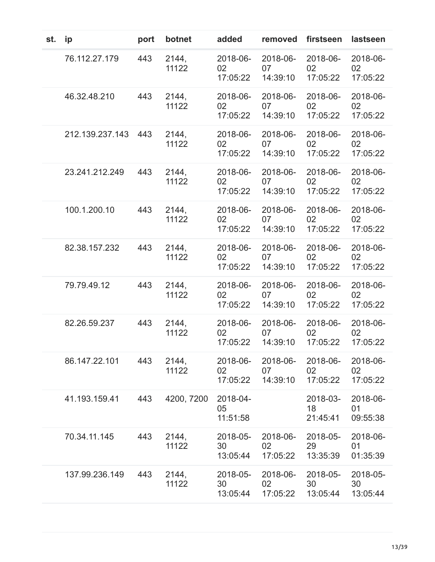| st. | ip              | port | botnet         | added                      | removed                    | firstseen                  | lastseen                   |
|-----|-----------------|------|----------------|----------------------------|----------------------------|----------------------------|----------------------------|
|     | 76.112.27.179   | 443  | 2144,<br>11122 | 2018-06-<br>02<br>17:05:22 | 2018-06-<br>07<br>14:39:10 | 2018-06-<br>02<br>17:05:22 | 2018-06-<br>02<br>17:05:22 |
|     | 46.32.48.210    | 443  | 2144,<br>11122 | 2018-06-<br>02<br>17:05:22 | 2018-06-<br>07<br>14:39:10 | 2018-06-<br>02<br>17:05:22 | 2018-06-<br>02<br>17:05:22 |
|     | 212.139.237.143 | 443  | 2144,<br>11122 | 2018-06-<br>02<br>17:05:22 | 2018-06-<br>07<br>14:39:10 | 2018-06-<br>02<br>17:05:22 | 2018-06-<br>02<br>17:05:22 |
|     | 23.241.212.249  | 443  | 2144,<br>11122 | 2018-06-<br>02<br>17:05:22 | 2018-06-<br>07<br>14:39:10 | 2018-06-<br>02<br>17:05:22 | 2018-06-<br>02<br>17:05:22 |
|     | 100.1.200.10    | 443  | 2144.<br>11122 | 2018-06-<br>02<br>17:05:22 | 2018-06-<br>07<br>14:39:10 | 2018-06-<br>02<br>17:05:22 | 2018-06-<br>02<br>17:05:22 |
|     | 82.38.157.232   | 443  | 2144,<br>11122 | 2018-06-<br>02<br>17:05:22 | 2018-06-<br>07<br>14:39:10 | 2018-06-<br>02<br>17:05:22 | 2018-06-<br>02<br>17:05:22 |
|     | 79.79.49.12     | 443  | 2144,<br>11122 | 2018-06-<br>02<br>17:05:22 | 2018-06-<br>07<br>14:39:10 | 2018-06-<br>02<br>17:05:22 | 2018-06-<br>02<br>17:05:22 |
|     | 82.26.59.237    | 443  | 2144,<br>11122 | 2018-06-<br>02<br>17:05:22 | 2018-06-<br>07<br>14:39:10 | 2018-06-<br>02<br>17:05:22 | 2018-06-<br>02<br>17:05:22 |
|     | 86.147.22.101   | 443  | 2144,<br>11122 | 2018-06-<br>02<br>17:05:22 | 2018-06-<br>07<br>14:39:10 | 2018-06-<br>02<br>17:05:22 | 2018-06-<br>02<br>17:05:22 |
|     | 41.193.159.41   | 443  | 4200, 7200     | 2018-04-<br>05<br>11:51:58 |                            | 2018-03-<br>18<br>21:45:41 | 2018-06-<br>01<br>09:55:38 |
|     | 70.34.11.145    | 443  | 2144,<br>11122 | 2018-05-<br>30<br>13:05:44 | 2018-06-<br>02<br>17:05:22 | 2018-05-<br>29<br>13:35:39 | 2018-06-<br>01<br>01:35:39 |
|     | 137.99.236.149  | 443  | 2144,<br>11122 | 2018-05-<br>30<br>13:05:44 | 2018-06-<br>02<br>17:05:22 | 2018-05-<br>30<br>13:05:44 | 2018-05-<br>30<br>13:05:44 |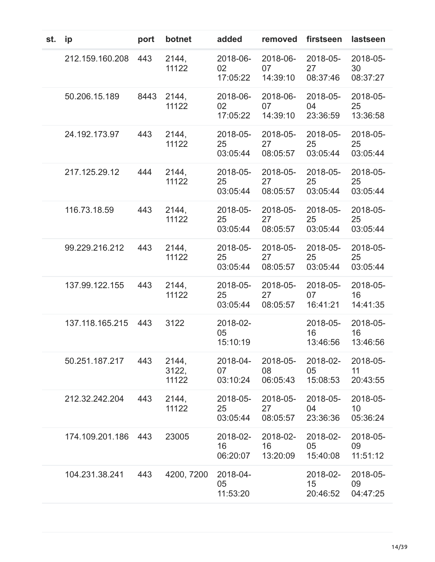| st. | ip              | port | botnet                  | added                      | removed                    | firstseen                  | lastseen                   |
|-----|-----------------|------|-------------------------|----------------------------|----------------------------|----------------------------|----------------------------|
|     | 212.159.160.208 | 443  | 2144,<br>11122          | 2018-06-<br>02<br>17:05:22 | 2018-06-<br>07<br>14:39:10 | 2018-05-<br>27<br>08:37:46 | 2018-05-<br>30<br>08:37:27 |
|     | 50.206.15.189   | 8443 | 2144,<br>11122          | 2018-06-<br>02<br>17:05:22 | 2018-06-<br>07<br>14:39:10 | 2018-05-<br>04<br>23:36:59 | 2018-05-<br>25<br>13:36:58 |
|     | 24.192.173.97   | 443  | 2144,<br>11122          | 2018-05-<br>25<br>03:05:44 | 2018-05-<br>27<br>08:05:57 | 2018-05-<br>25<br>03:05:44 | 2018-05-<br>25<br>03:05:44 |
|     | 217.125.29.12   | 444  | 2144,<br>11122          | 2018-05-<br>25<br>03:05:44 | 2018-05-<br>27<br>08:05:57 | 2018-05-<br>25<br>03:05:44 | 2018-05-<br>25<br>03:05:44 |
|     | 116.73.18.59    | 443  | 2144,<br>11122          | 2018-05-<br>25<br>03:05:44 | 2018-05-<br>27<br>08:05:57 | 2018-05-<br>25<br>03:05:44 | 2018-05-<br>25<br>03:05:44 |
|     | 99.229.216.212  | 443  | 2144,<br>11122          | 2018-05-<br>25<br>03:05:44 | 2018-05-<br>27<br>08:05:57 | 2018-05-<br>25<br>03:05:44 | 2018-05-<br>25<br>03:05:44 |
|     | 137.99.122.155  | 443  | 2144,<br>11122          | 2018-05-<br>25<br>03:05:44 | 2018-05-<br>27<br>08:05:57 | 2018-05-<br>07<br>16:41:21 | 2018-05-<br>16<br>14:41:35 |
|     | 137.118.165.215 | 443  | 3122                    | 2018-02-<br>05<br>15:10:19 |                            | 2018-05-<br>16<br>13:46:56 | 2018-05-<br>16<br>13:46:56 |
|     | 50.251.187.217  | 443  | 2144,<br>3122,<br>11122 | 2018-04-<br>07<br>03:10:24 | 2018-05-<br>08<br>06:05:43 | 2018-02-<br>05<br>15:08:53 | 2018-05-<br>11<br>20:43:55 |
|     | 212.32.242.204  | 443  | 2144,<br>11122          | 2018-05-<br>25<br>03:05:44 | 2018-05-<br>27<br>08:05:57 | 2018-05-<br>04<br>23:36:36 | 2018-05-<br>10<br>05:36:24 |
|     | 174.109.201.186 | 443  | 23005                   | 2018-02-<br>16<br>06:20:07 | 2018-02-<br>16<br>13:20:09 | 2018-02-<br>05<br>15:40:08 | 2018-05-<br>09<br>11:51:12 |
|     | 104.231.38.241  | 443  | 4200, 7200              | 2018-04-<br>05<br>11:53:20 |                            | 2018-02-<br>15<br>20:46:52 | 2018-05-<br>09<br>04:47:25 |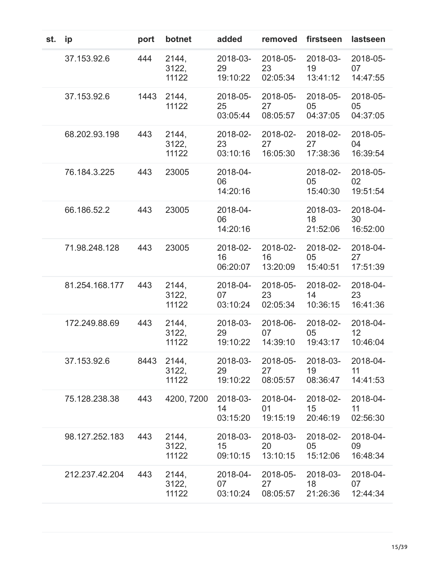| st. | ip             | port | botnet                  | added                      | removed                    | firstseen                  | lastseen                   |
|-----|----------------|------|-------------------------|----------------------------|----------------------------|----------------------------|----------------------------|
|     | 37.153.92.6    | 444  | 2144,<br>3122,<br>11122 | 2018-03-<br>29<br>19:10:22 | 2018-05-<br>23<br>02:05:34 | 2018-03-<br>19<br>13:41:12 | 2018-05-<br>07<br>14:47:55 |
|     | 37.153.92.6    | 1443 | 2144,<br>11122          | 2018-05-<br>25<br>03:05:44 | 2018-05-<br>27<br>08:05:57 | 2018-05-<br>05<br>04:37:05 | 2018-05-<br>05<br>04:37:05 |
|     | 68.202.93.198  | 443  | 2144,<br>3122,<br>11122 | 2018-02-<br>23<br>03:10:16 | 2018-02-<br>27<br>16:05:30 | 2018-02-<br>27<br>17:38:36 | 2018-05-<br>04<br>16:39:54 |
|     | 76.184.3.225   | 443  | 23005                   | 2018-04-<br>06<br>14:20:16 |                            | 2018-02-<br>05<br>15:40:30 | 2018-05-<br>02<br>19:51:54 |
|     | 66.186.52.2    | 443  | 23005                   | 2018-04-<br>06<br>14:20:16 |                            | 2018-03-<br>18<br>21:52:06 | 2018-04-<br>30<br>16:52:00 |
|     | 71.98.248.128  | 443  | 23005                   | 2018-02-<br>16<br>06:20:07 | 2018-02-<br>16<br>13:20:09 | 2018-02-<br>05<br>15:40:51 | 2018-04-<br>27<br>17:51:39 |
|     | 81.254.168.177 | 443  | 2144,<br>3122,<br>11122 | 2018-04-<br>07<br>03:10:24 | 2018-05-<br>23<br>02:05:34 | 2018-02-<br>14<br>10:36:15 | 2018-04-<br>23<br>16:41:36 |
|     | 172.249.88.69  | 443  | 2144,<br>3122,<br>11122 | 2018-03-<br>29<br>19:10:22 | 2018-06-<br>07<br>14:39:10 | 2018-02-<br>05<br>19:43:17 | 2018-04-<br>12<br>10:46:04 |
|     | 37.153.92.6    | 8443 | 2144,<br>3122,<br>11122 | 2018-03-<br>29<br>19:10:22 | 2018-05-<br>27<br>08:05:57 | 2018-03-<br>19<br>08:36:47 | 2018-04-<br>11<br>14:41:53 |
|     | 75.128.238.38  | 443  | 4200, 7200              | 2018-03-<br>14<br>03:15:20 | 2018-04-<br>01<br>19:15:19 | 2018-02-<br>15<br>20:46:19 | 2018-04-<br>11<br>02:56:30 |
|     | 98.127.252.183 | 443  | 2144,<br>3122,<br>11122 | 2018-03-<br>15<br>09:10:15 | 2018-03-<br>20<br>13:10:15 | 2018-02-<br>05<br>15:12:06 | 2018-04-<br>09<br>16:48:34 |
|     | 212.237.42.204 | 443  | 2144,<br>3122,<br>11122 | 2018-04-<br>07<br>03:10:24 | 2018-05-<br>27<br>08:05:57 | 2018-03-<br>18<br>21:26:36 | 2018-04-<br>07<br>12:44:34 |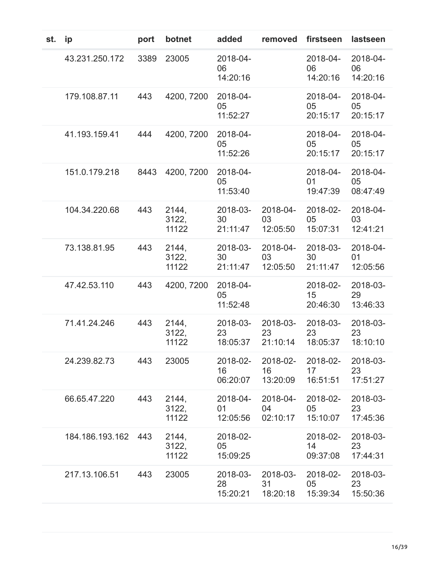| st. | ip              | port | botnet                  | added                      | removed                    | firstseen                  | lastseen                   |
|-----|-----------------|------|-------------------------|----------------------------|----------------------------|----------------------------|----------------------------|
|     | 43.231.250.172  | 3389 | 23005                   | 2018-04-<br>06<br>14:20:16 |                            | 2018-04-<br>06<br>14:20:16 | 2018-04-<br>06<br>14:20:16 |
|     | 179.108.87.11   | 443  | 4200, 7200              | 2018-04-<br>05<br>11:52:27 |                            | 2018-04-<br>05<br>20:15:17 | 2018-04-<br>05<br>20:15:17 |
|     | 41.193.159.41   | 444  | 4200, 7200              | 2018-04-<br>05<br>11:52:26 |                            | 2018-04-<br>05<br>20:15:17 | 2018-04-<br>05<br>20:15:17 |
|     | 151.0.179.218   | 8443 | 4200, 7200              | 2018-04-<br>05<br>11:53:40 |                            | 2018-04-<br>01<br>19:47:39 | 2018-04-<br>05<br>08:47:49 |
|     | 104.34.220.68   | 443  | 2144,<br>3122,<br>11122 | 2018-03-<br>30<br>21:11:47 | 2018-04-<br>03<br>12:05:50 | 2018-02-<br>05<br>15:07:31 | 2018-04-<br>03<br>12:41:21 |
|     | 73.138.81.95    | 443  | 2144,<br>3122,<br>11122 | 2018-03-<br>30<br>21:11:47 | 2018-04-<br>03<br>12:05:50 | 2018-03-<br>30<br>21:11:47 | 2018-04-<br>01<br>12:05:56 |
|     | 47.42.53.110    | 443  | 4200, 7200              | 2018-04-<br>05<br>11:52:48 |                            | 2018-02-<br>15<br>20:46:30 | 2018-03-<br>29<br>13:46:33 |
|     | 71.41.24.246    | 443  | 2144,<br>3122,<br>11122 | 2018-03-<br>23<br>18:05:37 | 2018-03-<br>23<br>21:10:14 | 2018-03-<br>23<br>18:05:37 | 2018-03-<br>23<br>18:10:10 |
|     | 24.239.82.73    | 443  | 23005                   | 2018-02-<br>16<br>06:20:07 | 2018-02-<br>16<br>13:20:09 | 2018-02-<br>17<br>16:51:51 | 2018-03-<br>23<br>17:51:27 |
|     | 66.65.47.220    | 443  | 2144,<br>3122,<br>11122 | 2018-04-<br>01<br>12:05:56 | 2018-04-<br>04<br>02:10:17 | 2018-02-<br>05<br>15:10:07 | 2018-03-<br>23<br>17:45:36 |
|     | 184.186.193.162 | 443  | 2144,<br>3122,<br>11122 | 2018-02-<br>05<br>15:09:25 |                            | 2018-02-<br>14<br>09:37:08 | 2018-03-<br>23<br>17:44:31 |
|     | 217.13.106.51   | 443  | 23005                   | 2018-03-<br>28<br>15:20:21 | 2018-03-<br>31<br>18:20:18 | 2018-02-<br>05<br>15:39:34 | 2018-03-<br>23<br>15:50:36 |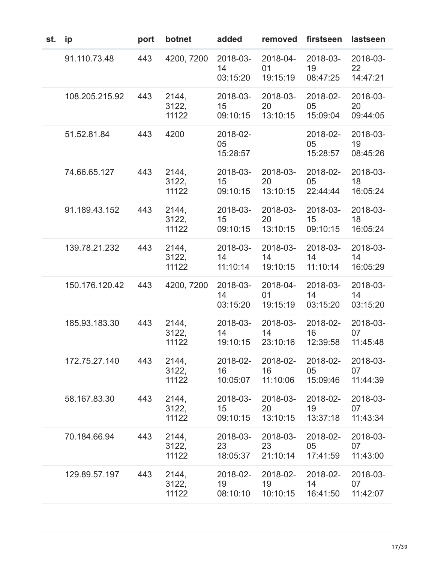| st. | ip             | port | botnet                  | added                                   | removed                                         | firstseen                  | lastseen                   |
|-----|----------------|------|-------------------------|-----------------------------------------|-------------------------------------------------|----------------------------|----------------------------|
|     | 91.110.73.48   | 443  | 4200, 7200              | 2018-03-<br>14<br>03:15:20              | 2018-04-<br>01<br>19:15:19                      | 2018-03-<br>19<br>08:47:25 | 2018-03-<br>22<br>14:47:21 |
|     | 108.205.215.92 | 443  | 2144,<br>3122,<br>11122 | 2018-03-<br>15<br>09:10:15              | 2018-03-<br>20<br>13:10:15                      | 2018-02-<br>05<br>15:09:04 | 2018-03-<br>20<br>09:44:05 |
|     | 51.52.81.84    | 443  | 4200                    | 2018-02-<br>05<br>15:28:57              |                                                 | 2018-02-<br>05<br>15:28:57 | 2018-03-<br>19<br>08:45:26 |
|     | 74.66.65.127   | 443  | 2144,<br>3122,<br>11122 | 2018-03-<br>15<br>09:10:15              | 2018-03-<br>20<br>13:10:15                      | 2018-02-<br>05<br>22:44:44 | 2018-03-<br>18<br>16:05:24 |
|     | 91.189.43.152  | 443  | 2144,<br>3122,<br>11122 | 2018-03-<br>15<br>09:10:15              | 2018-03-<br>20<br>13:10:15                      | 2018-03-<br>15<br>09:10:15 | 2018-03-<br>18<br>16:05:24 |
|     | 139.78.21.232  | 443  | 2144,<br>3122,<br>11122 | 2018-03-<br>14<br>11:10:14              | 2018-03-<br>14<br>19:10:15                      | 2018-03-<br>14<br>11:10:14 | 2018-03-<br>14<br>16:05:29 |
|     | 150.176.120.42 | 443  | 4200, 7200              | 2018-03-<br>14<br>03:15:20              | 2018-04-<br>01<br>19:15:19                      | 2018-03-<br>14<br>03:15:20 | 2018-03-<br>14<br>03:15:20 |
|     | 185.93.183.30  | 443  | 2144,<br>3122,<br>11122 | 2018-03-<br>14<br>19:10:15              | 2018-03-<br>14<br>23:10:16                      | 2018-02-<br>16<br>12:39:58 | 2018-03-<br>07<br>11:45:48 |
|     | 172.75.27.140  | 443  | 2144,<br>3122,<br>11122 | 2018-02-<br>16<br>10:05:07              | 2018-02-<br>$16 \quad \blacksquare$<br>11:10:06 | 2018-02-<br>05<br>15:09:46 | 2018-03-<br>07<br>11:44:39 |
|     | 58.167.83.30   | 443  | 2144,<br>3122,<br>11122 | 2018-03-<br>15 <sup>1</sup><br>09:10:15 | 2018-03-<br>20<br>13:10:15                      | 2018-02-<br>19<br>13:37:18 | 2018-03-<br>07<br>11:43:34 |
|     | 70.184.66.94   | 443  | 2144,<br>3122,<br>11122 | 2018-03-<br>23<br>18:05:37              | 2018-03-<br>23<br>21:10:14                      | 2018-02-<br>05<br>17:41:59 | 2018-03-<br>07<br>11:43:00 |
|     | 129.89.57.197  | 443  | 2144,<br>3122,<br>11122 | 2018-02-<br>19<br>08:10:10              | 2018-02-<br>19<br>10:10:15                      | 2018-02-<br>14<br>16:41:50 | 2018-03-<br>07<br>11:42:07 |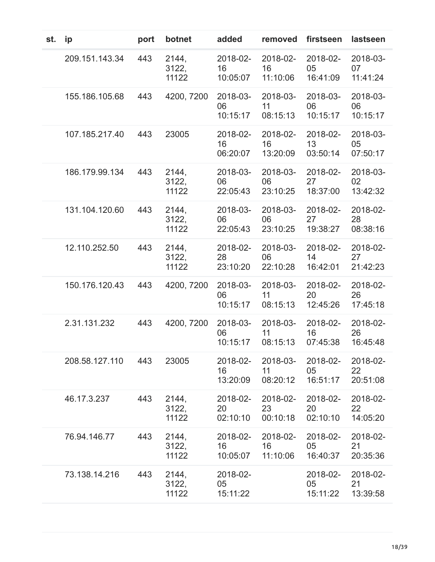| st. | ip             | port | botnet                  | added                      | removed                    | firstseen                  | lastseen                   |
|-----|----------------|------|-------------------------|----------------------------|----------------------------|----------------------------|----------------------------|
|     | 209.151.143.34 | 443  | 2144,<br>3122,<br>11122 | 2018-02-<br>16<br>10:05:07 | 2018-02-<br>16<br>11:10:06 | 2018-02-<br>05<br>16:41:09 | 2018-03-<br>07<br>11:41:24 |
|     | 155.186.105.68 | 443  | 4200, 7200              | 2018-03-<br>06<br>10:15:17 | 2018-03-<br>11<br>08:15:13 | 2018-03-<br>06<br>10:15:17 | 2018-03-<br>06<br>10:15:17 |
|     | 107.185.217.40 | 443  | 23005                   | 2018-02-<br>16<br>06:20:07 | 2018-02-<br>16<br>13:20:09 | 2018-02-<br>13<br>03:50:14 | 2018-03-<br>05<br>07:50:17 |
|     | 186.179.99.134 | 443  | 2144,<br>3122,<br>11122 | 2018-03-<br>06<br>22:05:43 | 2018-03-<br>06<br>23:10:25 | 2018-02-<br>27<br>18:37:00 | 2018-03-<br>02<br>13:42:32 |
|     | 131.104.120.60 | 443  | 2144,<br>3122,<br>11122 | 2018-03-<br>06<br>22:05:43 | 2018-03-<br>06<br>23:10:25 | 2018-02-<br>27<br>19:38:27 | 2018-02-<br>28<br>08:38:16 |
|     | 12.110.252.50  | 443  | 2144,<br>3122,<br>11122 | 2018-02-<br>28<br>23:10:20 | 2018-03-<br>06<br>22:10:28 | 2018-02-<br>14<br>16:42:01 | 2018-02-<br>27<br>21:42:23 |
|     | 150.176.120.43 | 443  | 4200, 7200              | 2018-03-<br>06<br>10:15:17 | 2018-03-<br>11<br>08:15:13 | 2018-02-<br>20<br>12:45:26 | 2018-02-<br>26<br>17:45:18 |
|     | 2.31.131.232   | 443  | 4200, 7200              | 2018-03-<br>06<br>10:15:17 | 2018-03-<br>11<br>08:15:13 | 2018-02-<br>16<br>07:45:38 | 2018-02-<br>26<br>16:45:48 |
|     | 208.58.127.110 | 443  | 23005                   | 2018-02-<br>16<br>13:20:09 | 2018-03-<br>11<br>08:20:12 | 2018-02-<br>05<br>16:51:17 | 2018-02-<br>22<br>20:51:08 |
|     | 46.17.3.237    | 443  | 2144,<br>3122,<br>11122 | 2018-02-<br>20<br>02:10:10 | 2018-02-<br>23<br>00:10:18 | 2018-02-<br>20<br>02:10:10 | 2018-02-<br>22<br>14:05:20 |
|     | 76.94.146.77   | 443  | 2144,<br>3122,<br>11122 | 2018-02-<br>16<br>10:05:07 | 2018-02-<br>16<br>11:10:06 | 2018-02-<br>05<br>16:40:37 | 2018-02-<br>21<br>20:35:36 |
|     | 73.138.14.216  | 443  | 2144,<br>3122,<br>11122 | 2018-02-<br>05<br>15:11:22 |                            | 2018-02-<br>05<br>15:11:22 | 2018-02-<br>21<br>13:39:58 |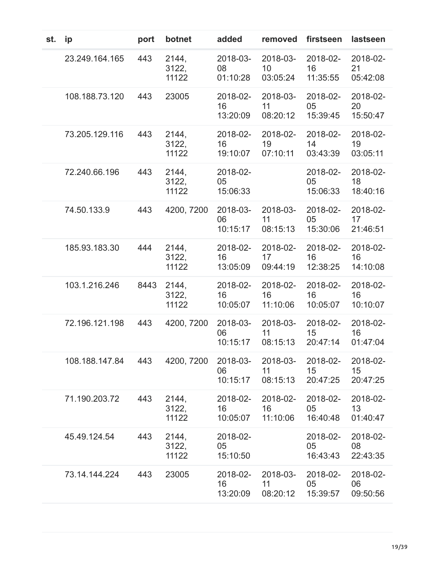| st. | ip             | port | botnet                  | added                      | removed                                 | firstseen                  | lastseen                   |
|-----|----------------|------|-------------------------|----------------------------|-----------------------------------------|----------------------------|----------------------------|
|     | 23.249.164.165 | 443  | 2144,<br>3122,<br>11122 | 2018-03-<br>08<br>01:10:28 | 2018-03-<br>10 <sup>°</sup><br>03:05:24 | 2018-02-<br>16<br>11:35:55 | 2018-02-<br>21<br>05:42:08 |
|     | 108.188.73.120 | 443  | 23005                   | 2018-02-<br>16<br>13:20:09 | 2018-03-<br>11<br>08:20:12              | 2018-02-<br>05<br>15:39:45 | 2018-02-<br>20<br>15:50:47 |
|     | 73.205.129.116 | 443  | 2144,<br>3122,<br>11122 | 2018-02-<br>16<br>19:10:07 | 2018-02-<br>19<br>07:10:11              | 2018-02-<br>14<br>03:43:39 | 2018-02-<br>19<br>03:05:11 |
|     | 72.240.66.196  | 443  | 2144,<br>3122,<br>11122 | 2018-02-<br>05<br>15:06:33 |                                         | 2018-02-<br>05<br>15:06:33 | 2018-02-<br>18<br>18:40:16 |
|     | 74.50.133.9    | 443  | 4200, 7200              | 2018-03-<br>06<br>10:15:17 | 2018-03-<br>11<br>08:15:13              | 2018-02-<br>05<br>15:30:06 | 2018-02-<br>17<br>21:46:51 |
|     | 185.93.183.30  | 444  | 2144,<br>3122,<br>11122 | 2018-02-<br>16<br>13:05:09 | 2018-02-<br>17<br>09:44:19              | 2018-02-<br>16<br>12:38:25 | 2018-02-<br>16<br>14:10:08 |
|     | 103.1.216.246  | 8443 | 2144,<br>3122,<br>11122 | 2018-02-<br>16<br>10:05:07 | 2018-02-<br>16<br>11:10:06              | 2018-02-<br>16<br>10:05:07 | 2018-02-<br>16<br>10:10:07 |
|     | 72.196.121.198 | 443  | 4200, 7200              | 2018-03-<br>06<br>10:15:17 | 2018-03-<br>11<br>08:15:13              | 2018-02-<br>15<br>20:47:14 | 2018-02-<br>16<br>01:47:04 |
|     | 108.188.147.84 | 443  | 4200, 7200              | 2018-03-<br>06<br>10:15:17 | 2018-03-<br>11<br>08:15:13              | 2018-02-<br>15<br>20:47:25 | 2018-02-<br>15<br>20:47:25 |
|     | 71.190.203.72  | 443  | 2144,<br>3122,<br>11122 | 2018-02-<br>16<br>10:05:07 | 2018-02-<br>16<br>11:10:06              | 2018-02-<br>05<br>16:40:48 | 2018-02-<br>13<br>01:40:47 |
|     | 45.49.124.54   | 443  | 2144,<br>3122,<br>11122 | 2018-02-<br>05<br>15:10:50 |                                         | 2018-02-<br>05<br>16:43:43 | 2018-02-<br>08<br>22:43:35 |
|     | 73.14.144.224  | 443  | 23005                   | 2018-02-<br>16<br>13:20:09 | 2018-03-<br>11<br>08:20:12              | 2018-02-<br>05<br>15:39:57 | 2018-02-<br>06<br>09:50:56 |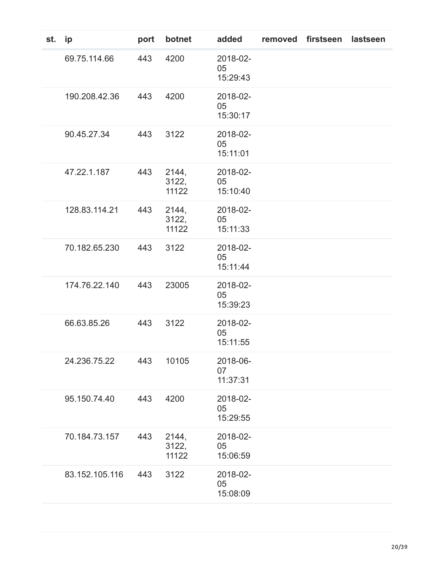| st. | ip             | port | botnet                  | added                      | removed | firstseen | lastseen |
|-----|----------------|------|-------------------------|----------------------------|---------|-----------|----------|
|     | 69.75.114.66   | 443  | 4200                    | 2018-02-<br>05<br>15:29:43 |         |           |          |
|     | 190.208.42.36  | 443  | 4200                    | 2018-02-<br>05<br>15:30:17 |         |           |          |
|     | 90.45.27.34    | 443  | 3122                    | 2018-02-<br>05<br>15:11:01 |         |           |          |
|     | 47.22.1.187    | 443  | 2144,<br>3122,<br>11122 | 2018-02-<br>05<br>15:10:40 |         |           |          |
|     | 128.83.114.21  | 443  | 2144,<br>3122,<br>11122 | 2018-02-<br>05<br>15:11:33 |         |           |          |
|     | 70.182.65.230  | 443  | 3122                    | 2018-02-<br>05<br>15:11:44 |         |           |          |
|     | 174.76.22.140  | 443  | 23005                   | 2018-02-<br>05<br>15:39:23 |         |           |          |
|     | 66.63.85.26    | 443  | 3122                    | 2018-02-<br>05<br>15:11:55 |         |           |          |
|     | 24.236.75.22   | 443  | 10105                   | 2018-06-<br>07<br>11:37:31 |         |           |          |
|     | 95.150.74.40   | 443  | 4200                    | 2018-02-<br>05<br>15:29:55 |         |           |          |
|     | 70.184.73.157  | 443  | 2144,<br>3122,<br>11122 | 2018-02-<br>05<br>15:06:59 |         |           |          |
|     | 83.152.105.116 | 443  | 3122                    | 2018-02-<br>05<br>15:08:09 |         |           |          |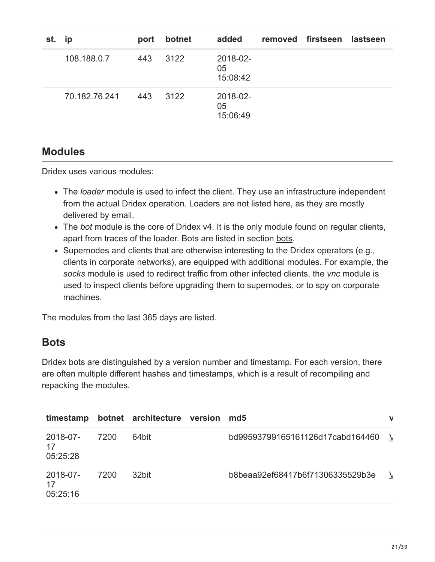| st. | ip            | port | botnet | added                      | removed firstseen | lastseen |
|-----|---------------|------|--------|----------------------------|-------------------|----------|
|     | 108.188.0.7   | 443  | 3122   | 2018-02-<br>05<br>15:08:42 |                   |          |
|     | 70.182.76.241 | 443  | 3122   | 2018-02-<br>05<br>15:06:49 |                   |          |

#### **Modules**

Dridex uses various modules:

- The *loader* module is used to infect the client. They use an infrastructure independent from the actual Dridex operation. Loaders are not listed here, as they are mostly delivered by email.
- The *bot* module is the core of Dridex v4. It is the only module found on regular clients, apart from traces of the loader. Bots are listed in section bots.
- Supernodes and clients that are otherwise interesting to the Dridex operators (e.g., clients in corporate networks), are equipped with additional modules. For example, the *socks* module is used to redirect traffic from other infected clients, the *vnc* module is used to inspect clients before upgrading them to supernodes, or to spy on corporate machines.

The modules from the last 365 days are listed.

## **Bots**

Dridex bots are distinguished by a version number and timestamp. For each version, there are often multiple different hashes and timestamps, which is a result of recompiling and repacking the modules.

| timestamp                  |      | botnet architecture version | md <sub>5</sub>                    | V |
|----------------------------|------|-----------------------------|------------------------------------|---|
| 2018-07-<br>17<br>05:25:28 | 7200 | 64bit                       | bd99593799165161126d17cabd164460 \ |   |
| 2018-07-<br>17<br>05:25:16 | 7200 | 32bit                       | b8beaa92ef68417b6f71306335529b3e   |   |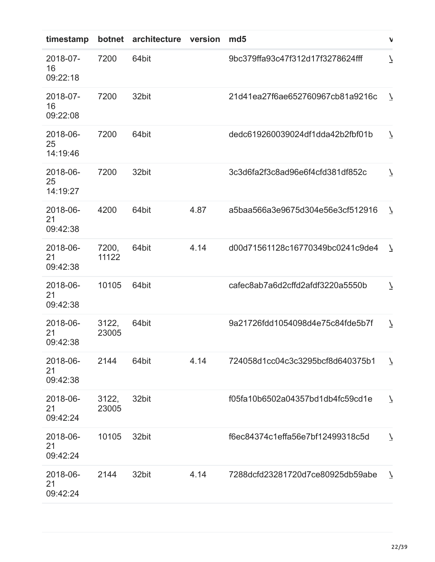| timestamp                  | botnet         | architecture version |      | md <sub>5</sub>                  | $\mathbf{v}$             |
|----------------------------|----------------|----------------------|------|----------------------------------|--------------------------|
| 2018-07-<br>16<br>09:22:18 | 7200           | 64bit                |      | 9bc379ffa93c47f312d17f3278624fff | $\overline{\phantom{a}}$ |
| 2018-07-<br>16<br>09:22:08 | 7200           | 32bit                |      | 21d41ea27f6ae652760967cb81a9216c | $\overline{7}$           |
| 2018-06-<br>25<br>14:19:46 | 7200           | 64bit                |      | dedc619260039024df1dda42b2fbf01b | $\overline{\mathcal{L}}$ |
| 2018-06-<br>25<br>14:19:27 | 7200           | 32bit                |      | 3c3d6fa2f3c8ad96e6f4cfd381df852c | $\overline{\mathcal{L}}$ |
| 2018-06-<br>21<br>09:42:38 | 4200           | 64bit                | 4.87 | a5baa566a3e9675d304e56e3cf512916 | $\overline{\phantom{a}}$ |
| 2018-06-<br>21<br>09:42:38 | 7200,<br>11122 | 64bit                | 4.14 | d00d71561128c16770349bc0241c9de4 | $\overline{\mathcal{L}}$ |
| 2018-06-<br>21<br>09:42:38 | 10105          | 64bit                |      | cafec8ab7a6d2cffd2afdf3220a5550b | $\overline{\phantom{a}}$ |
| 2018-06-<br>21<br>09:42:38 | 3122,<br>23005 | 64bit                |      | 9a21726fdd1054098d4e75c84fde5b7f | $\overline{\phantom{a}}$ |
| 2018-06-<br>21<br>09:42:38 | 2144           | 64bit                | 4.14 | 724058d1cc04c3c3295bcf8d640375b1 | $\overline{\mathcal{L}}$ |
| 2018-06-<br>21<br>09:42:24 | 3122,<br>23005 | 32bit                |      | f05fa10b6502a04357bd1db4fc59cd1e | $\overline{\phantom{a}}$ |
| 2018-06-<br>21<br>09:42:24 | 10105          | 32bit                |      | f6ec84374c1effa56e7bf12499318c5d | $\overline{\phantom{a}}$ |
| 2018-06-<br>21<br>09:42:24 | 2144           | 32bit                | 4.14 | 7288dcfd23281720d7ce80925db59abe | $\overline{\phantom{a}}$ |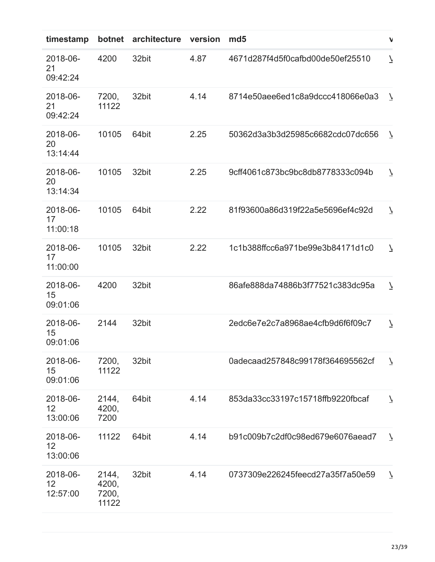| timestamp                  | botnet                           | architecture | version | md <sub>5</sub>                  | $\mathbf{v}$             |
|----------------------------|----------------------------------|--------------|---------|----------------------------------|--------------------------|
| 2018-06-<br>21<br>09:42:24 | 4200                             | 32bit        | 4.87    | 4671d287f4d5f0cafbd00de50ef25510 | $\overline{\mathcal{L}}$ |
| 2018-06-<br>21<br>09:42:24 | 7200,<br>11122                   | 32bit        | 4.14    | 8714e50aee6ed1c8a9dccc418066e0a3 | $\overline{V}$           |
| 2018-06-<br>20<br>13:14:44 | 10105                            | 64bit        | 2.25    | 50362d3a3b3d25985c6682cdc07dc656 | $\overline{\phantom{a}}$ |
| 2018-06-<br>20<br>13:14:34 | 10105                            | 32bit        | 2.25    | 9cff4061c873bc9bc8db8778333c094b | $\overline{\phantom{a}}$ |
| 2018-06-<br>17<br>11:00:18 | 10105                            | 64bit        | 2.22    | 81f93600a86d319f22a5e5696ef4c92d | $\overline{\phantom{a}}$ |
| 2018-06-<br>17<br>11:00:00 | 10105                            | 32bit        | 2.22    | 1c1b388ffcc6a971be99e3b84171d1c0 | $\overline{\phantom{a}}$ |
| 2018-06-<br>15<br>09:01:06 | 4200                             | 32bit        |         | 86afe888da74886b3f77521c383dc95a | $\overline{\phantom{a}}$ |
| 2018-06-<br>15<br>09:01:06 | 2144                             | 32bit        |         | 2edc6e7e2c7a8968ae4cfb9d6f6f09c7 | $\overline{\phantom{a}}$ |
| 2018-06-<br>15<br>09:01:06 | 7200,<br>11122                   | 32bit        |         | 0adecaad257848c99178f364695562cf | $\overline{7}$           |
| 2018-06-<br>12<br>13:00:06 | 2144,<br>4200,<br>7200           | 64bit        | 4.14    | 853da33cc33197c15718ffb9220fbcaf | $\overline{\phantom{a}}$ |
| 2018-06-<br>12<br>13:00:06 | 11122                            | 64bit        | 4.14    | b91c009b7c2df0c98ed679e6076aead7 | $\overline{7}$           |
| 2018-06-<br>12<br>12:57:00 | 2144,<br>4200,<br>7200,<br>11122 | 32bit        | 4.14    | 0737309e226245feecd27a35f7a50e59 | $\overline{\phantom{a}}$ |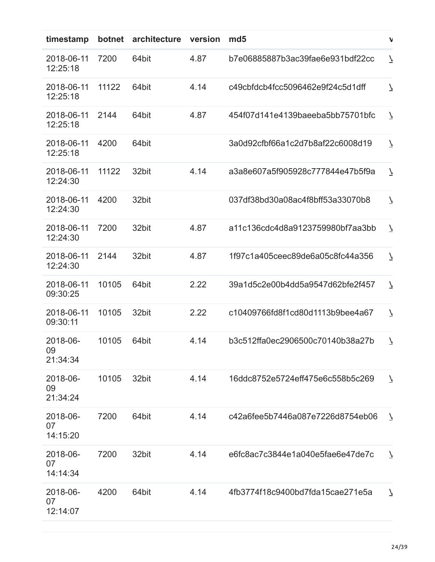| timestamp                  | botnet | architecture | version | md <sub>5</sub>                  | V                        |
|----------------------------|--------|--------------|---------|----------------------------------|--------------------------|
| 2018-06-11<br>12:25:18     | 7200   | 64bit        | 4.87    | b7e06885887b3ac39fae6e931bdf22cc | $\overline{\mathcal{L}}$ |
| 2018-06-11<br>12:25:18     | 11122  | 64bit        | 4.14    | c49cbfdcb4fcc5096462e9f24c5d1dff | $\overline{\phantom{a}}$ |
| 2018-06-11<br>12:25:18     | 2144   | 64bit        | 4.87    | 454f07d141e4139baeeba5bb75701bfc | $\overline{\phantom{a}}$ |
| 2018-06-11<br>12:25:18     | 4200   | 64bit        |         | 3a0d92cfbf66a1c2d7b8af22c6008d19 | $\overline{\mathcal{L}}$ |
| 2018-06-11<br>12:24:30     | 11122  | 32bit        | 4.14    | a3a8e607a5f905928c777844e47b5f9a | $\overline{\phantom{a}}$ |
| 2018-06-11<br>12:24:30     | 4200   | 32bit        |         | 037df38bd30a08ac4f8bff53a33070b8 | $\overline{\mathcal{L}}$ |
| 2018-06-11<br>12:24:30     | 7200   | 32bit        | 4.87    | a11c136cdc4d8a9123759980bf7aa3bb | $\overline{\phantom{a}}$ |
| 2018-06-11<br>12:24:30     | 2144   | 32bit        | 4.87    | 1f97c1a405ceec89de6a05c8fc44a356 | $\overline{\phantom{a}}$ |
| 2018-06-11<br>09:30:25     | 10105  | 64bit        | 2.22    | 39a1d5c2e00b4dd5a9547d62bfe2f457 | $\overline{\phantom{a}}$ |
| 2018-06-11<br>09:30:11     | 10105  | 32bit        | 2.22    | c10409766fd8f1cd80d1113b9bee4a67 | $\overline{\phantom{a}}$ |
| 2018-06-<br>09<br>21:34:34 | 10105  | 64bit        | 4.14    | b3c512ffa0ec2906500c70140b38a27b | $\overline{\phantom{a}}$ |
| 2018-06-<br>09<br>21:34:24 | 10105  | 32bit        | 4.14    | 16ddc8752e5724eff475e6c558b5c269 | $\overline{\phantom{a}}$ |
| 2018-06-<br>07<br>14:15:20 | 7200   | 64bit        | 4.14    | c42a6fee5b7446a087e7226d8754eb06 | $\overline{\phantom{a}}$ |
| 2018-06-<br>07<br>14:14:34 | 7200   | 32bit        | 4.14    | e6fc8ac7c3844e1a040e5fae6e47de7c | $\overline{\phantom{a}}$ |
| 2018-06-<br>07<br>12:14:07 | 4200   | 64bit        | 4.14    | 4fb3774f18c9400bd7fda15cae271e5a | $\overline{\mathcal{L}}$ |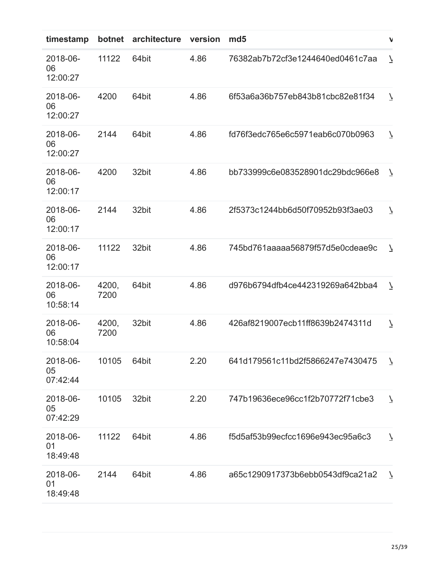| timestamp                  | botnet        | architecture | version | md <sub>5</sub>                  | $\mathbf{v}$             |
|----------------------------|---------------|--------------|---------|----------------------------------|--------------------------|
| 2018-06-<br>06<br>12:00:27 | 11122         | 64bit        | 4.86    | 76382ab7b72cf3e1244640ed0461c7aa | $\overline{\phantom{a}}$ |
| 2018-06-<br>06<br>12:00:27 | 4200          | 64bit        | 4.86    | 6f53a6a36b757eb843b81cbc82e81f34 | $\overline{\phantom{a}}$ |
| 2018-06-<br>06<br>12:00:27 | 2144          | 64bit        | 4.86    | fd76f3edc765e6c5971eab6c070b0963 | $\overline{\phantom{a}}$ |
| 2018-06-<br>06<br>12:00:17 | 4200          | 32bit        | 4.86    | bb733999c6e083528901dc29bdc966e8 | $\overline{\mathcal{L}}$ |
| 2018-06-<br>06<br>12:00:17 | 2144          | 32bit        | 4.86    | 2f5373c1244bb6d50f70952b93f3ae03 | $\overline{\phantom{a}}$ |
| 2018-06-<br>06<br>12:00:17 | 11122         | 32bit        | 4.86    | 745bd761aaaaa56879f57d5e0cdeae9c | $\overline{\mathcal{L}}$ |
| 2018-06-<br>06<br>10:58:14 | 4200,<br>7200 | 64bit        | 4.86    | d976b6794dfb4ce442319269a642bba4 | $\overline{\phantom{a}}$ |
| 2018-06-<br>06<br>10:58:04 | 4200,<br>7200 | 32bit        | 4.86    | 426af8219007ecb11ff8639b2474311d | $\overline{\phantom{a}}$ |
| 2018-06-<br>05<br>07:42:44 | 10105         | 64bit        | 2.20    | 641d179561c11bd2f5866247e7430475 | $\overline{\mathcal{L}}$ |
| 2018-06-<br>05<br>07:42:29 | 10105         | 32bit        | 2.20    | 747b19636ece96cc1f2b70772f71cbe3 | $\overline{\phantom{a}}$ |
| 2018-06-<br>01<br>18:49:48 | 11122         | 64bit        | 4.86    | f5d5af53b99ecfcc1696e943ec95a6c3 | $\overline{\phantom{a}}$ |
| 2018-06-<br>01<br>18:49:48 | 2144          | 64bit        | 4.86    | a65c1290917373b6ebb0543df9ca21a2 | $\overline{7}$           |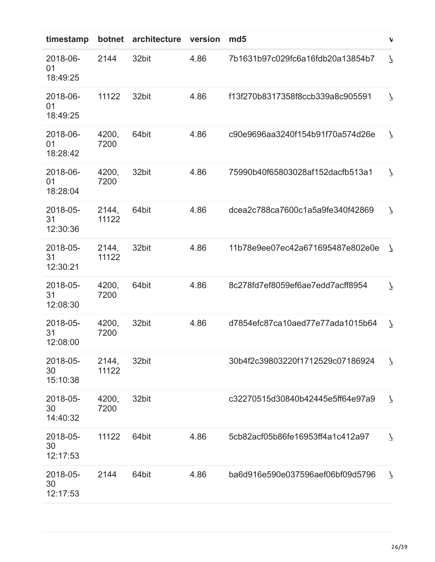| timestamp                  | botnet         | architecture | version | md <sub>5</sub>                  | $\mathbf{v}$             |
|----------------------------|----------------|--------------|---------|----------------------------------|--------------------------|
| 2018-06-<br>01<br>18:49:25 | 2144           | 32bit        | 4.86    | 7b1631b97c029fc6a16fdb20a13854b7 | $\overline{\phantom{a}}$ |
| 2018-06-<br>01<br>18:49:25 | 11122          | 32bit        | 4.86    | f13f270b8317358f8ccb339a8c905591 | $\overline{\phantom{a}}$ |
| 2018-06-<br>01<br>18:28:42 | 4200,<br>7200  | 64bit        | 4.86    | c90e9696aa3240f154b91f70a574d26e | $\overline{\phantom{a}}$ |
| 2018-06-<br>01<br>18:28:04 | 4200,<br>7200  | 32bit        | 4.86    | 75990b40f65803028af152dacfb513a1 | $\overline{\phantom{a}}$ |
| 2018-05-<br>31<br>12:30:36 | 2144,<br>11122 | 64bit        | 4.86    | dcea2c788ca7600c1a5a9fe340f42869 | $\overline{\phantom{a}}$ |
| 2018-05-<br>31<br>12:30:21 | 2144,<br>11122 | 32bit        | 4.86    | 11b78e9ee07ec42a671695487e802e0e | $\overline{\mathcal{L}}$ |
| 2018-05-<br>31<br>12:08:30 | 4200,<br>7200  | 64bit        | 4.86    | 8c278fd7ef8059ef6ae7edd7acff8954 | $\overline{\phantom{a}}$ |
| 2018-05-<br>31<br>12:08:00 | 4200,<br>7200  | 32bit        | 4.86    | d7854efc87ca10aed77e77ada1015b64 | $\overline{\phantom{a}}$ |
| 2018-05-<br>30<br>15:10:38 | 2144,<br>11122 | 32bit        |         | 30b4f2c39803220f1712529c07186924 | $\overline{\mathcal{L}}$ |
| 2018-05-<br>30<br>14:40:32 | 4200,<br>7200  | 32bit        |         | c32270515d30840b42445e5ff64e97a9 | $\overline{\phantom{a}}$ |
| 2018-05-<br>30<br>12:17:53 | 11122          | 64bit        | 4.86    | 5cb82acf05b86fe16953ff4a1c412a97 | $\overline{\phantom{a}}$ |
| 2018-05-<br>30<br>12:17:53 | 2144           | 64bit        | 4.86    | ba6d916e590e037596aef06bf09d5796 | $\overline{\phantom{a}}$ |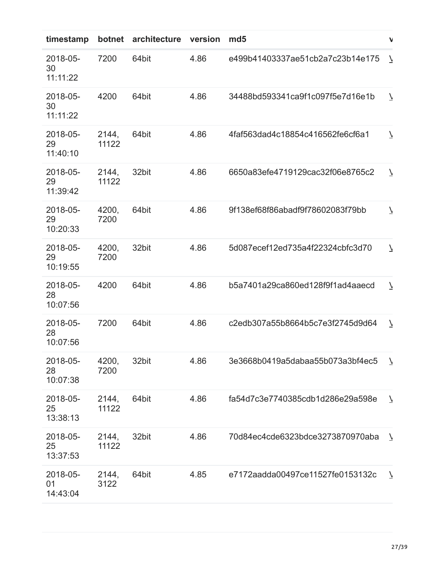| timestamp                  | botnet         | architecture | version | md <sub>5</sub>                  | $\mathbf{v}$             |
|----------------------------|----------------|--------------|---------|----------------------------------|--------------------------|
| 2018-05-<br>30<br>11:11:22 | 7200           | 64bit        | 4.86    | e499b41403337ae51cb2a7c23b14e175 | $\overline{\phantom{a}}$ |
| 2018-05-<br>30<br>11:11:22 | 4200           | 64bit        | 4.86    | 34488bd593341ca9f1c097f5e7d16e1b | $\overline{\mathcal{L}}$ |
| 2018-05-<br>29<br>11:40:10 | 2144,<br>11122 | 64bit        | 4.86    | 4faf563dad4c18854c416562fe6cf6a1 | $\overline{\mathcal{L}}$ |
| 2018-05-<br>29<br>11:39:42 | 2144,<br>11122 | 32bit        | 4.86    | 6650a83efe4719129cac32f06e8765c2 | $\overline{\phantom{a}}$ |
| 2018-05-<br>29<br>10:20:33 | 4200,<br>7200  | 64bit        | 4.86    | 9f138ef68f86abadf9f78602083f79bb | $\overline{\mathcal{L}}$ |
| 2018-05-<br>29<br>10:19:55 | 4200,<br>7200  | 32bit        | 4.86    | 5d087ecef12ed735a4f22324cbfc3d70 | $\overline{\mathcal{L}}$ |
| 2018-05-<br>28<br>10:07:56 | 4200           | 64bit        | 4.86    | b5a7401a29ca860ed128f9f1ad4aaecd | $\overline{\phantom{a}}$ |
| 2018-05-<br>28<br>10:07:56 | 7200           | 64bit        | 4.86    | c2edb307a55b8664b5c7e3f2745d9d64 | $\overline{\phantom{a}}$ |
| 2018-05-<br>28<br>10:07:38 | 4200,<br>7200  | 32bit        | 4.86    | 3e3668b0419a5dabaa55b073a3bf4ec5 | $\overline{\mathcal{L}}$ |
| 2018-05-<br>25<br>13:38:13 | 2144,<br>11122 | 64bit        | 4.86    | fa54d7c3e7740385cdb1d286e29a598e | $\overline{\mathcal{L}}$ |
| 2018-05-<br>25<br>13:37:53 | 2144,<br>11122 | 32bit        | 4.86    | 70d84ec4cde6323bdce3273870970aba | $\overline{\mathcal{L}}$ |
| 2018-05-<br>01<br>14:43:04 | 2144,<br>3122  | 64bit        | 4.85    | e7172aadda00497ce11527fe0153132c | $\overline{\mathcal{L}}$ |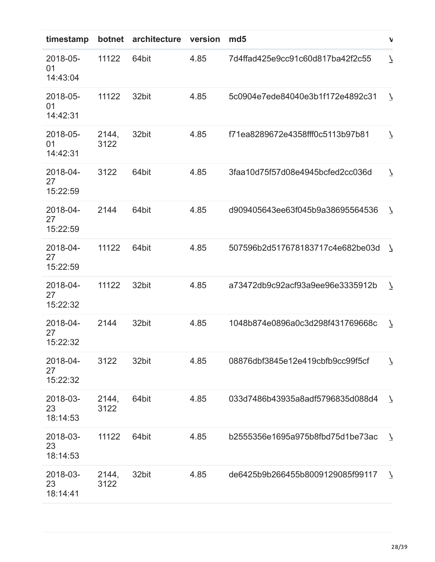| timestamp                  | botnet        | architecture | version | md <sub>5</sub>                  | V                        |
|----------------------------|---------------|--------------|---------|----------------------------------|--------------------------|
| 2018-05-<br>01<br>14:43:04 | 11122         | 64bit        | 4.85    | 7d4ffad425e9cc91c60d817ba42f2c55 | $\overline{\mathcal{L}}$ |
| 2018-05-<br>01<br>14:42:31 | 11122         | 32bit        | 4.85    | 5c0904e7ede84040e3b1f172e4892c31 | $\overline{\phantom{a}}$ |
| 2018-05-<br>01<br>14:42:31 | 2144,<br>3122 | 32bit        | 4.85    | f71ea8289672e4358fff0c5113b97b81 | $\overline{\phantom{a}}$ |
| 2018-04-<br>27<br>15:22:59 | 3122          | 64bit        | 4.85    | 3faa10d75f57d08e4945bcfed2cc036d | $\overline{\phantom{a}}$ |
| 2018-04-<br>27<br>15:22:59 | 2144          | 64bit        | 4.85    | d909405643ee63f045b9a38695564536 | $\overline{\mathcal{L}}$ |
| 2018-04-<br>27<br>15:22:59 | 11122         | 64bit        | 4.85    | 507596b2d517678183717c4e682be03d | $\overline{\mathcal{L}}$ |
| 2018-04-<br>27<br>15:22:32 | 11122         | 32bit        | 4.85    | a73472db9c92acf93a9ee96e3335912b | $\overline{\phantom{a}}$ |
| 2018-04-<br>27<br>15:22:32 | 2144          | 32bit        | 4.85    | 1048b874e0896a0c3d298f431769668c | $\overline{\phantom{a}}$ |
| 2018-04-<br>27<br>15:22:32 | 3122          | 32bit        | 4.85    | 08876dbf3845e12e419cbfb9cc99f5cf | $\overline{\mathcal{L}}$ |
| 2018-03-<br>23<br>18:14:53 | 2144,<br>3122 | 64bit        | 4.85    | 033d7486b43935a8adf5796835d088d4 | $\overline{\phantom{a}}$ |
| 2018-03-<br>23<br>18:14:53 | 11122         | 64bit        | 4.85    | b2555356e1695a975b8fbd75d1be73ac | $\overline{\phantom{a}}$ |
| 2018-03-<br>23<br>18:14:41 | 2144,<br>3122 | 32bit        | 4.85    | de6425b9b266455b8009129085f99117 | $\overline{7}$           |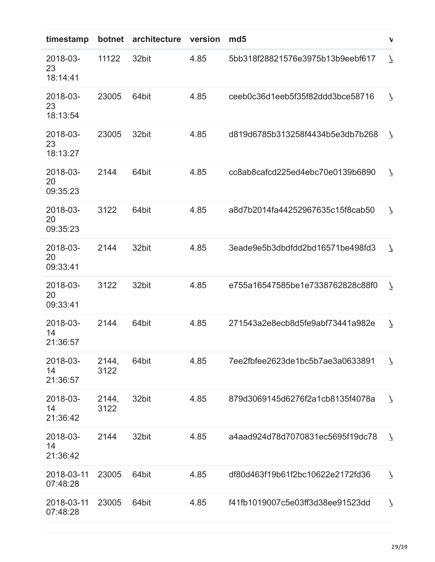| timestamp                  | botnet        | architecture | version | md <sub>5</sub>                  | $\mathbf v$              |
|----------------------------|---------------|--------------|---------|----------------------------------|--------------------------|
| 2018-03-<br>23<br>18:14:41 | 11122         | 32bit        | 4.85    | 5bb318f28821576e3975b13b9eebf617 | $\overline{\phantom{a}}$ |
| 2018-03-<br>23<br>18:13:54 | 23005         | 64bit        | 4.85    | ceeb0c36d1eeb5f35f82ddd3bce58716 | $\overline{\phantom{a}}$ |
| 2018-03-<br>23<br>18:13:27 | 23005         | 32bit        | 4.85    | d819d6785b313258f4434b5e3db7b268 | $\overline{\phantom{a}}$ |
| 2018-03-<br>20<br>09:35:23 | 2144          | 64bit        | 4.85    | cc8ab8cafcd225ed4ebc70e0139b6890 | $\overline{\phantom{a}}$ |
| 2018-03-<br>20<br>09:35:23 | 3122          | 64bit        | 4.85    | a8d7b2014fa44252967635c15f8cab50 | $\overline{\phantom{a}}$ |
| 2018-03-<br>20<br>09:33:41 | 2144          | 32bit        | 4.85    | 3eade9e5b3dbdfdd2bd16571be498fd3 | $\overline{\phantom{a}}$ |
| 2018-03-<br>20<br>09:33:41 | 3122          | 32bit        | 4.85    | e755a16547585be1e7338762828c88f0 | $\overline{\mathcal{L}}$ |
| 2018-03-<br>14<br>21:36:57 | 2144          | 64bit        | 4.85    | 271543a2e8ecb8d5fe9abf73441a982e | $\overline{\phantom{a}}$ |
| 2018-03-<br>14<br>21:36:57 | 2144,<br>3122 | 64bit        | 4.85    | 7ee2fbfee2623de1bc5b7ae3a0633891 | $\overline{\phantom{a}}$ |
| 2018-03-<br>14<br>21:36:42 | 2144,<br>3122 | 32bit        | 4.85    | 879d3069145d6276f2a1cb8135f4078a | $\overline{\phantom{a}}$ |
| 2018-03-<br>14<br>21:36:42 | 2144          | 32bit        | 4.85    | a4aad924d78d7070831ec5695f19dc78 | $\overline{7}$           |
| 2018-03-11<br>07:48:28     | 23005         | 64bit        | 4.85    | df80d463f19b61f2bc10622e2172fd36 | $\overline{\phantom{a}}$ |
| 2018-03-11<br>07:48:28     | 23005         | 64bit        | 4.85    | f41fb1019007c5e03ff3d38ee91523dd | $\overline{\phantom{a}}$ |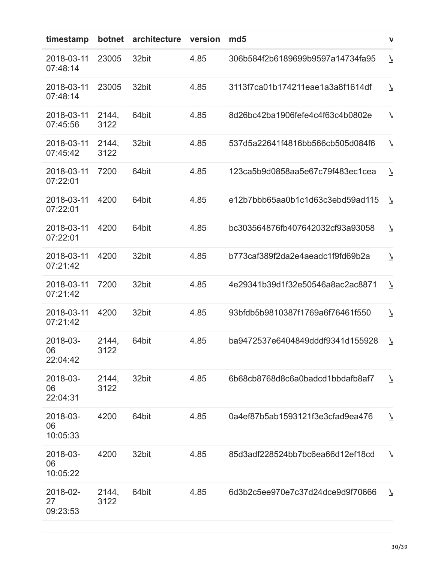| timestamp                  | botnet        | architecture | version | md <sub>5</sub>                  | $\mathbf v$              |
|----------------------------|---------------|--------------|---------|----------------------------------|--------------------------|
| 2018-03-11<br>07:48:14     | 23005         | 32bit        | 4.85    | 306b584f2b6189699b9597a14734fa95 | $\overline{\phantom{a}}$ |
| 2018-03-11<br>07:48:14     | 23005         | 32bit        | 4.85    | 3113f7ca01b174211eae1a3a8f1614df | $\overline{\mathcal{L}}$ |
| 2018-03-11<br>07:45:56     | 2144,<br>3122 | 64bit        | 4.85    | 8d26bc42ba1906fefe4c4f63c4b0802e | $\overline{\phantom{a}}$ |
| 2018-03-11<br>07:45:42     | 2144,<br>3122 | 32bit        | 4.85    | 537d5a22641f4816bb566cb505d084f6 | $\overline{\phantom{a}}$ |
| 2018-03-11<br>07:22:01     | 7200          | 64bit        | 4.85    | 123ca5b9d0858aa5e67c79f483ec1cea | $\overline{\phantom{a}}$ |
| 2018-03-11<br>07:22:01     | 4200          | 64bit        | 4.85    | e12b7bbb65aa0b1c1d63c3ebd59ad115 | $\overline{\mathcal{L}}$ |
| 2018-03-11<br>07:22:01     | 4200          | 64bit        | 4.85    | bc303564876fb407642032cf93a93058 | $\overline{\phantom{a}}$ |
| 2018-03-11<br>07:21:42     | 4200          | 32bit        | 4.85    | b773caf389f2da2e4aeadc1f9fd69b2a | $\overline{\mathcal{L}}$ |
| 2018-03-11<br>07:21:42     | 7200          | 32bit        | 4.85    | 4e29341b39d1f32e50546a8ac2ac8871 | $\overline{\phantom{a}}$ |
| 2018-03-11<br>07:21:42     | 4200          | 32bit        | 4.85    | 93bfdb5b9810387f1769a6f76461f550 | $\overline{\phantom{a}}$ |
| 2018-03-<br>06<br>22:04:42 | 2144,<br>3122 | 64bit        | 4.85    | ba9472537e6404849dddf9341d155928 | $\overline{\phantom{a}}$ |
| 2018-03-<br>06<br>22:04:31 | 2144,<br>3122 | 32bit        | 4.85    | 6b68cb8768d8c6a0badcd1bbdafb8af7 | $\overline{\phantom{a}}$ |
| 2018-03-<br>06<br>10:05:33 | 4200          | 64bit        | 4.85    | 0a4ef87b5ab1593121f3e3cfad9ea476 | $\overline{\mathcal{L}}$ |
| 2018-03-<br>06<br>10:05:22 | 4200          | 32bit        | 4.85    | 85d3adf228524bb7bc6ea66d12ef18cd | $\overline{\phantom{a}}$ |
| 2018-02-<br>27<br>09:23:53 | 2144,<br>3122 | 64bit        | 4.85    | 6d3b2c5ee970e7c37d24dce9d9f70666 | $\overline{\mathcal{L}}$ |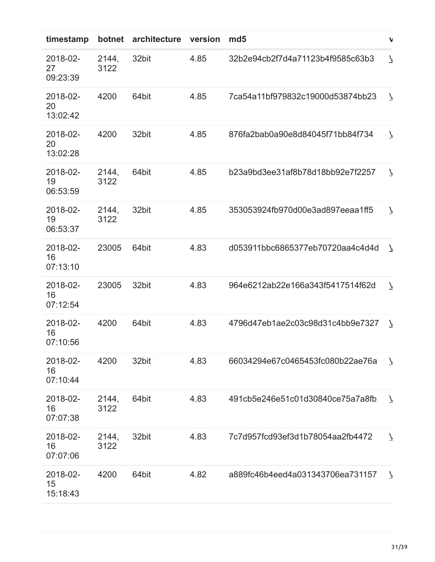| timestamp                  | botnet        | architecture | version | md <sub>5</sub>                  | $\mathbf{V}$             |
|----------------------------|---------------|--------------|---------|----------------------------------|--------------------------|
| 2018-02-<br>27<br>09:23:39 | 2144,<br>3122 | 32bit        | 4.85    | 32b2e94cb2f7d4a71123b4f9585c63b3 | $\overline{\mathcal{L}}$ |
| 2018-02-<br>20<br>13:02:42 | 4200          | 64bit        | 4.85    | 7ca54a11bf979832c19000d53874bb23 | $\overline{\mathcal{L}}$ |
| 2018-02-<br>20<br>13:02:28 | 4200          | 32bit        | 4.85    | 876fa2bab0a90e8d84045f71bb84f734 | $\overline{\mathcal{L}}$ |
| 2018-02-<br>19<br>06:53:59 | 2144,<br>3122 | 64bit        | 4.85    | b23a9bd3ee31af8b78d18bb92e7f2257 | $\overline{\phantom{a}}$ |
| 2018-02-<br>19<br>06:53:37 | 2144,<br>3122 | 32bit        | 4.85    | 353053924fb970d00e3ad897eeaa1ff5 | $\overline{\mathcal{L}}$ |
| 2018-02-<br>16<br>07:13:10 | 23005         | 64bit        | 4.83    | d053911bbc6865377eb70720aa4c4d4d | $\overline{\mathcal{L}}$ |
| 2018-02-<br>16<br>07:12:54 | 23005         | 32bit        | 4.83    | 964e6212ab22e166a343f5417514f62d | $\overline{\phantom{a}}$ |
| 2018-02-<br>16<br>07:10:56 | 4200          | 64bit        | 4.83    | 4796d47eb1ae2c03c98d31c4bb9e7327 | $\overline{\mathcal{L}}$ |
| 2018-02-<br>16<br>07:10:44 | 4200          | 32bit        | 4.83    | 66034294e67c0465453fc080b22ae76a | $\overline{7}$           |
| 2018-02-<br>16<br>07:07:38 | 2144,<br>3122 | 64bit        | 4.83    | 491cb5e246e51c01d30840ce75a7a8fb | $\overline{\mathcal{L}}$ |
| 2018-02-<br>16<br>07:07:06 | 2144,<br>3122 | 32bit        | 4.83    | 7c7d957fcd93ef3d1b78054aa2fb4472 | $\overline{\phantom{a}}$ |
| 2018-02-<br>15<br>15:18:43 | 4200          | 64bit        | 4.82    | a889fc46b4eed4a031343706ea731157 | $\overline{\phantom{a}}$ |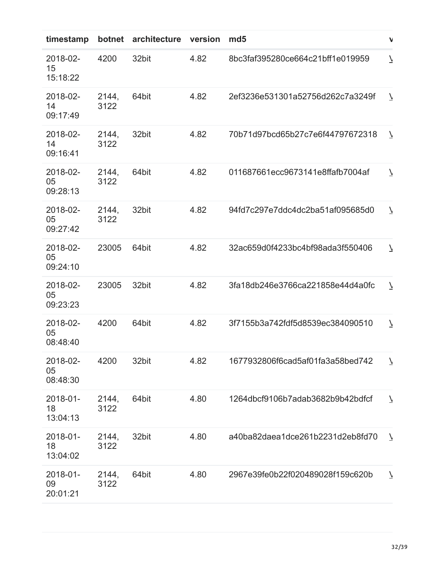| timestamp                  | botnet        | architecture | version | md <sub>5</sub>                  | $\mathbf{v}$             |
|----------------------------|---------------|--------------|---------|----------------------------------|--------------------------|
| 2018-02-<br>15<br>15:18:22 | 4200          | 32bit        | 4.82    | 8bc3faf395280ce664c21bff1e019959 | $\overline{\phantom{a}}$ |
| 2018-02-<br>14<br>09:17:49 | 2144,<br>3122 | 64bit        | 4.82    | 2ef3236e531301a52756d262c7a3249f | $\overline{\phantom{a}}$ |
| 2018-02-<br>14<br>09:16:41 | 2144,<br>3122 | 32bit        | 4.82    | 70b71d97bcd65b27c7e6f44797672318 | $\overline{\mathcal{L}}$ |
| 2018-02-<br>05<br>09:28:13 | 2144,<br>3122 | 64bit        | 4.82    | 011687661ecc9673141e8ffafb7004af | $\overline{\phantom{a}}$ |
| 2018-02-<br>05<br>09:27:42 | 2144,<br>3122 | 32bit        | 4.82    | 94fd7c297e7ddc4dc2ba51af095685d0 | $\overline{\phantom{a}}$ |
| 2018-02-<br>05<br>09:24:10 | 23005         | 64bit        | 4.82    | 32ac659d0f4233bc4bf98ada3f550406 | $\overline{\phantom{a}}$ |
| 2018-02-<br>05<br>09:23:23 | 23005         | 32bit        | 4.82    | 3fa18db246e3766ca221858e44d4a0fc | $\overline{\phantom{a}}$ |
| 2018-02-<br>05<br>08:48:40 | 4200          | 64bit        | 4.82    | 3f7155b3a742fdf5d8539ec384090510 | $\overline{\phantom{a}}$ |
| 2018-02-<br>05<br>08:48:30 | 4200          | 32bit        | 4.82    | 1677932806f6cad5af01fa3a58bed742 | $\overline{\phantom{a}}$ |
| 2018-01-<br>18<br>13:04:13 | 2144,<br>3122 | 64bit        | 4.80    | 1264dbcf9106b7adab3682b9b42bdfcf | $\overline{\mathcal{L}}$ |
| 2018-01-<br>18<br>13:04:02 | 2144,<br>3122 | 32bit        | 4.80    | a40ba82daea1dce261b2231d2eb8fd70 | $\overline{7}$           |
| 2018-01-<br>09<br>20:01:21 | 2144,<br>3122 | 64bit        | 4.80    | 2967e39fe0b22f020489028f159c620b | $\overline{\phantom{a}}$ |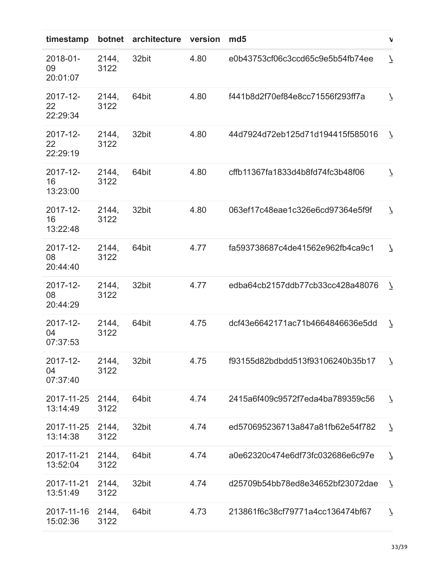| timestamp                  | botnet        | architecture | version | md <sub>5</sub>                  | $\mathbf{v}$             |
|----------------------------|---------------|--------------|---------|----------------------------------|--------------------------|
| 2018-01-<br>09<br>20:01:07 | 2144,<br>3122 | 32bit        | 4.80    | e0b43753cf06c3ccd65c9e5b54fb74ee | $\overline{\mathcal{L}}$ |
| 2017-12-<br>22<br>22:29:34 | 2144,<br>3122 | 64bit        | 4.80    | f441b8d2f70ef84e8cc71556f293ff7a | $\overline{\phantom{a}}$ |
| 2017-12-<br>22<br>22:29:19 | 2144,<br>3122 | 32bit        | 4.80    | 44d7924d72eb125d71d194415f585016 | $\overline{\phantom{a}}$ |
| 2017-12-<br>16<br>13:23:00 | 2144,<br>3122 | 64bit        | 4.80    | cffb11367fa1833d4b8fd74fc3b48f06 | $\overline{\phantom{a}}$ |
| 2017-12-<br>16<br>13:22:48 | 2144,<br>3122 | 32bit        | 4.80    | 063ef17c48eae1c326e6cd97364e5f9f | $\overline{\mathcal{L}}$ |
| 2017-12-<br>08<br>20:44:40 | 2144,<br>3122 | 64bit        | 4.77    | fa593738687c4de41562e962fb4ca9c1 | $\overline{\phantom{a}}$ |
| 2017-12-<br>08<br>20:44:29 | 2144,<br>3122 | 32bit        | 4.77    | edba64cb2157ddb77cb33cc428a48076 | $\overline{\phantom{a}}$ |
| 2017-12-<br>04<br>07:37:53 | 2144,<br>3122 | 64bit        | 4.75    | dcf43e6642171ac71b4664846636e5dd | $\overline{\mathcal{L}}$ |
| 2017-12-<br>04<br>07:37:40 | 2144,<br>3122 | 32bit        | 4.75    | f93155d82bdbdd513f93106240b35b17 | $\overline{7}$           |
| 2017-11-25<br>13:14:49     | 2144,<br>3122 | 64bit        | 4.74    | 2415a6f409c9572f7eda4ba789359c56 | $\overline{\mathcal{L}}$ |
| 2017-11-25<br>13:14:38     | 2144,<br>3122 | 32bit        | 4.74    | ed570695236713a847a81fb62e54f782 | $\overline{\phantom{a}}$ |
| 2017-11-21<br>13:52:04     | 2144,<br>3122 | 64bit        | 4.74    | a0e62320c474e6df73fc032686e6c97e | $\overline{\phantom{a}}$ |
| 2017-11-21<br>13:51:49     | 2144,<br>3122 | 32bit        | 4.74    | d25709b54bb78ed8e34652bf23072dae | $\overline{\phantom{a}}$ |
| 2017-11-16<br>15:02:36     | 2144,<br>3122 | 64bit        | 4.73    | 213861f6c38cf79771a4cc136474bf67 | $\overline{\phantom{a}}$ |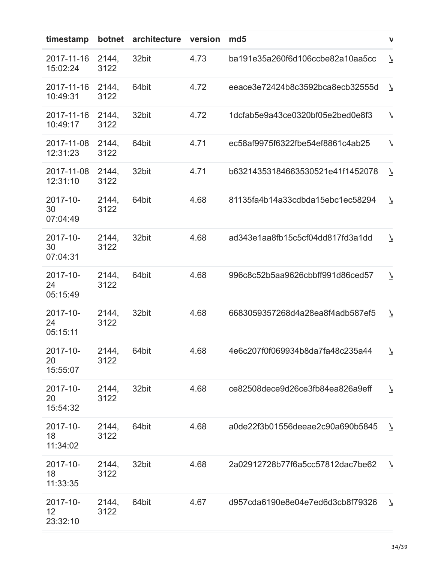| timestamp                  | botnet        | architecture | version | md <sub>5</sub>                  | $\mathbf{v}$             |
|----------------------------|---------------|--------------|---------|----------------------------------|--------------------------|
| 2017-11-16<br>15:02:24     | 2144,<br>3122 | 32bit        | 4.73    | ba191e35a260f6d106ccbe82a10aa5cc | $\overline{\phantom{a}}$ |
| 2017-11-16<br>10:49:31     | 2144,<br>3122 | 64bit        | 4.72    | eeace3e72424b8c3592bca8ecb32555d | $\overline{\mathcal{L}}$ |
| 2017-11-16<br>10:49:17     | 2144,<br>3122 | 32bit        | 4.72    | 1dcfab5e9a43ce0320bf05e2bed0e8f3 | $\overline{\mathcal{L}}$ |
| 2017-11-08<br>12:31:23     | 2144,<br>3122 | 64bit        | 4.71    | ec58af9975f6322fbe54ef8861c4ab25 | $\overline{\phantom{a}}$ |
| 2017-11-08<br>12:31:10     | 2144,<br>3122 | 32bit        | 4.71    | b63214353184663530521e41f1452078 | $\overline{\phantom{a}}$ |
| 2017-10-<br>30<br>07:04:49 | 2144,<br>3122 | 64bit        | 4.68    | 81135fa4b14a33cdbda15ebc1ec58294 | $\overline{\mathcal{L}}$ |
| 2017-10-<br>30<br>07:04:31 | 2144,<br>3122 | 32bit        | 4.68    | ad343e1aa8fb15c5cf04dd817fd3a1dd | $\overline{\phantom{a}}$ |
| 2017-10-<br>24<br>05:15:49 | 2144,<br>3122 | 64bit        | 4.68    | 996c8c52b5aa9626cbbff991d86ced57 | $\overline{\mathcal{L}}$ |
| 2017-10-<br>24<br>05:15:11 | 2144,<br>3122 | 32bit        | 4.68    | 6683059357268d4a28ea8f4adb587ef5 | $\overline{\phantom{a}}$ |
| 2017-10-<br>20<br>15:55:07 | 2144,<br>3122 | 64bit        | 4.68    | 4e6c207f0f069934b8da7fa48c235a44 | $\overline{A}$           |
| 2017-10-<br>20<br>15:54:32 | 2144,<br>3122 | 32bit        | 4.68    | ce82508dece9d26ce3fb84ea826a9eff | $\overline{\phantom{a}}$ |
| 2017-10-<br>18<br>11:34:02 | 2144,<br>3122 | 64bit        | 4.68    | a0de22f3b01556deeae2c90a690b5845 | $\overline{7}$           |
| 2017-10-<br>18<br>11:33:35 | 2144,<br>3122 | 32bit        | 4.68    | 2a02912728b77f6a5cc57812dac7be62 | $\overline{\phantom{a}}$ |
| 2017-10-<br>12<br>23:32:10 | 2144,<br>3122 | 64bit        | 4.67    | d957cda6190e8e04e7ed6d3cb8f79326 | $\overline{7}$           |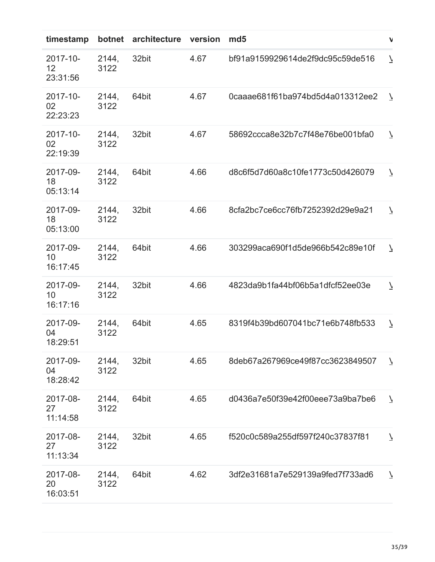| timestamp                  | botnet        | architecture | version | md <sub>5</sub>                  | $\mathbf{v}$             |
|----------------------------|---------------|--------------|---------|----------------------------------|--------------------------|
| 2017-10-<br>12<br>23:31:56 | 2144,<br>3122 | 32bit        | 4.67    | bf91a9159929614de2f9dc95c59de516 | $\overline{\phantom{a}}$ |
| 2017-10-<br>02<br>22:23:23 | 2144,<br>3122 | 64bit        | 4.67    | 0caaae681f61ba974bd5d4a013312ee2 | $\overline{\phantom{a}}$ |
| 2017-10-<br>02<br>22:19:39 | 2144,<br>3122 | 32bit        | 4.67    | 58692ccca8e32b7c7f48e76be001bfa0 | $\overline{\phantom{a}}$ |
| 2017-09-<br>18<br>05:13:14 | 2144,<br>3122 | 64bit        | 4.66    | d8c6f5d7d60a8c10fe1773c50d426079 | $\overline{\mathcal{L}}$ |
| 2017-09-<br>18<br>05:13:00 | 2144,<br>3122 | 32bit        | 4.66    | 8cfa2bc7ce6cc76fb7252392d29e9a21 | $\overline{\mathcal{L}}$ |
| 2017-09-<br>10<br>16:17:45 | 2144,<br>3122 | 64bit        | 4.66    | 303299aca690f1d5de966b542c89e10f | $\overline{\phantom{a}}$ |
| 2017-09-<br>10<br>16:17:16 | 2144,<br>3122 | 32bit        | 4.66    | 4823da9b1fa44bf06b5a1dfcf52ee03e | $\overline{\mathcal{L}}$ |
| 2017-09-<br>04<br>18:29:51 | 2144,<br>3122 | 64bit        | 4.65    | 8319f4b39bd607041bc71e6b748fb533 | $\overline{\phantom{a}}$ |
| 2017-09-<br>04<br>18:28:42 | 2144,<br>3122 | 32bit        | 4.65    | 8deb67a267969ce49f87cc3623849507 | $\overline{7}$           |
| 2017-08-<br>27<br>11:14:58 | 2144,<br>3122 | 64bit        | 4.65    | d0436a7e50f39e42f00eee73a9ba7be6 | $\overline{\mathcal{L}}$ |
| 2017-08-<br>27<br>11:13:34 | 2144,<br>3122 | 32bit        | 4.65    | f520c0c589a255df597f240c37837f81 | $\overline{\phantom{a}}$ |
| 2017-08-<br>20<br>16:03:51 | 2144,<br>3122 | 64bit        | 4.62    | 3df2e31681a7e529139a9fed7f733ad6 | $\overline{\phantom{a}}$ |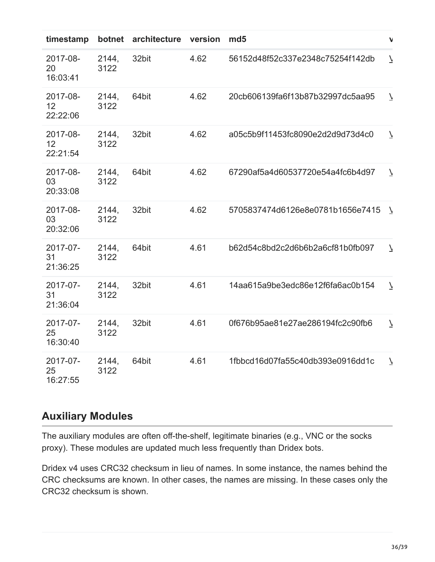| timestamp                  | botnet        | architecture | version | md <sub>5</sub>                  | $\mathbf{v}$             |
|----------------------------|---------------|--------------|---------|----------------------------------|--------------------------|
| 2017-08-<br>20<br>16:03:41 | 2144,<br>3122 | 32bit        | 4.62    | 56152d48f52c337e2348c75254f142db | $\overline{\mathcal{L}}$ |
| 2017-08-<br>12<br>22:22:06 | 2144,<br>3122 | 64bit        | 4.62    | 20cb606139fa6f13b87b32997dc5aa95 | $\overline{\mathcal{L}}$ |
| 2017-08-<br>12<br>22:21:54 | 2144,<br>3122 | 32bit        | 4.62    | a05c5b9f11453fc8090e2d2d9d73d4c0 | $\overline{\mathcal{L}}$ |
| 2017-08-<br>03<br>20:33:08 | 2144,<br>3122 | 64bit        | 4.62    | 67290af5a4d60537720e54a4fc6b4d97 | $\overline{\mathcal{L}}$ |
| 2017-08-<br>03<br>20:32:06 | 2144,<br>3122 | 32bit        | 4.62    | 5705837474d6126e8e0781b1656e7415 | N                        |
| 2017-07-<br>31<br>21:36:25 | 2144,<br>3122 | 64bit        | 4.61    | b62d54c8bd2c2d6b6b2a6cf81b0fb097 | $\overline{\phantom{a}}$ |
| 2017-07-<br>31<br>21:36:04 | 2144,<br>3122 | 32bit        | 4.61    | 14aa615a9be3edc86e12f6fa6ac0b154 | $\overline{\phantom{a}}$ |
| 2017-07-<br>25<br>16:30:40 | 2144.<br>3122 | 32bit        | 4.61    | 0f676b95ae81e27ae286194fc2c90fb6 | $\overline{\phantom{a}}$ |
| 2017-07-<br>25<br>16:27:55 | 2144,<br>3122 | 64bit        | 4.61    | 1fbbcd16d07fa55c40db393e0916dd1c | $\overline{\phantom{a}}$ |

# **Auxiliary Modules**

The auxiliary modules are often off-the-shelf, legitimate binaries (e.g., VNC or the socks proxy). These modules are updated much less frequently than Dridex bots.

Dridex v4 uses CRC32 checksum in lieu of names. In some instance, the names behind the CRC checksums are known. In other cases, the names are missing. In these cases only the CRC32 checksum is shown.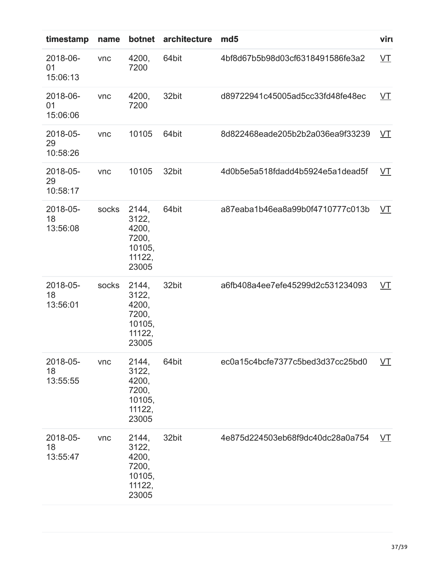| timestamp                  | name  | botnet                                                        | architecture | md <sub>5</sub>                  | viru                 |
|----------------------------|-------|---------------------------------------------------------------|--------------|----------------------------------|----------------------|
| 2018-06-<br>01<br>15:06:13 | vnc   | 4200,<br>7200                                                 | 64bit        | 4bf8d67b5b98d03cf6318491586fe3a2 | $V\mathsf{T}$        |
| 2018-06-<br>01<br>15:06:06 | vnc   | 4200,<br>7200                                                 | 32bit        | d89722941c45005ad5cc33fd48fe48ec | $\underline{\nabla}$ |
| 2018-05-<br>29<br>10:58:26 | vnc   | 10105                                                         | 64bit        | 8d822468eade205b2b2a036ea9f33239 | VT                   |
| 2018-05-<br>29<br>10:58:17 | vnc   | 10105                                                         | 32bit        | 4d0b5e5a518fdadd4b5924e5a1dead5f | <u>VT</u>            |
| 2018-05-<br>18<br>13:56:08 | socks | 2144,<br>3122,<br>4200,<br>7200,<br>10105,<br>11122,<br>23005 | 64bit        | a87eaba1b46ea8a99b0f4710777c013b | <u>VT</u>            |
| 2018-05-<br>18<br>13:56:01 | socks | 2144,<br>3122,<br>4200,<br>7200,<br>10105,<br>11122,<br>23005 | 32bit        | a6fb408a4ee7efe45299d2c531234093 | <u>VT</u>            |
| 2018-05-<br>18<br>13:55:55 | vnc   | 2144,<br>3122,<br>4200,<br>7200,<br>10105,<br>11122,<br>23005 | 64bit        | ec0a15c4bcfe7377c5bed3d37cc25bd0 | <u>VT</u>            |
| 2018-05-<br>18<br>13:55:47 | vnc   | 2144,<br>3122,<br>4200,<br>7200,<br>10105,<br>11122,<br>23005 | 32bit        | 4e875d224503eb68f9dc40dc28a0a754 | VT                   |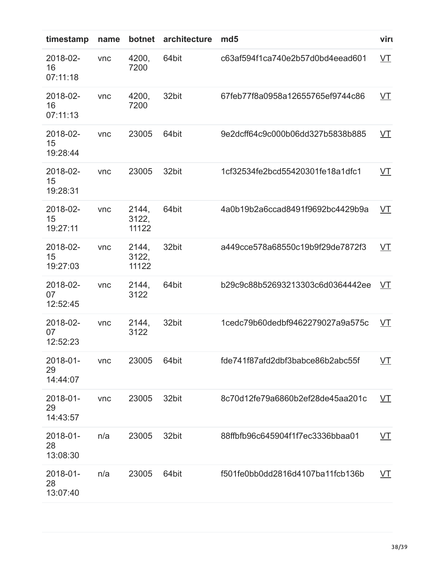| timestamp                  | name | botnet                  | architecture | md <sub>5</sub>                  | viru                 |
|----------------------------|------|-------------------------|--------------|----------------------------------|----------------------|
| 2018-02-<br>16<br>07:11:18 | vnc  | 4200,<br>7200           | 64bit        | c63af594f1ca740e2b57d0bd4eead601 | $V\mathbf{I}$        |
| 2018-02-<br>16<br>07:11:13 | vnc  | 4200,<br>7200           | 32bit        | 67feb77f8a0958a12655765ef9744c86 | <u>VT</u>            |
| 2018-02-<br>15<br>19:28:44 | vnc  | 23005                   | 64bit        | 9e2dcff64c9c000b06dd327b5838b885 | <u>VT</u>            |
| 2018-02-<br>15<br>19:28:31 | vnc  | 23005                   | 32bit        | 1cf32534fe2bcd55420301fe18a1dfc1 | <u>VT</u>            |
| 2018-02-<br>15<br>19:27:11 | vnc  | 2144,<br>3122,<br>11122 | 64bit        | 4a0b19b2a6ccad8491f9692bc4429b9a | <u>VT</u>            |
| 2018-02-<br>15<br>19:27:03 | vnc  | 2144,<br>3122,<br>11122 | 32bit        | a449cce578a68550c19b9f29de7872f3 | <u>VT</u>            |
| 2018-02-<br>07<br>12:52:45 | vnc  | 2144,<br>3122           | 64bit        | b29c9c88b52693213303c6d0364442ee | VT                   |
| 2018-02-<br>07<br>12:52:23 | vnc  | 2144,<br>3122           | 32bit        | 1cedc79b60dedbf9462279027a9a575c | <u>VT</u>            |
| 2018-01-<br>29<br>14:44:07 | vnc  | 23005                   | 64bit        | fde741f87afd2dbf3babce86b2abc55f | $\underline{\nabla}$ |
| 2018-01-<br>29<br>14:43:57 | vnc  | 23005                   | 32bit        | 8c70d12fe79a6860b2ef28de45aa201c | <u>VT</u>            |
| 2018-01-<br>28<br>13:08:30 | n/a  | 23005                   | 32bit        | 88ffbfb96c645904f1f7ec3336bbaa01 | VT                   |
| 2018-01-<br>28<br>13:07:40 | n/a  | 23005                   | 64bit        | f501fe0bb0dd2816d4107ba11fcb136b | <u>VT</u>            |